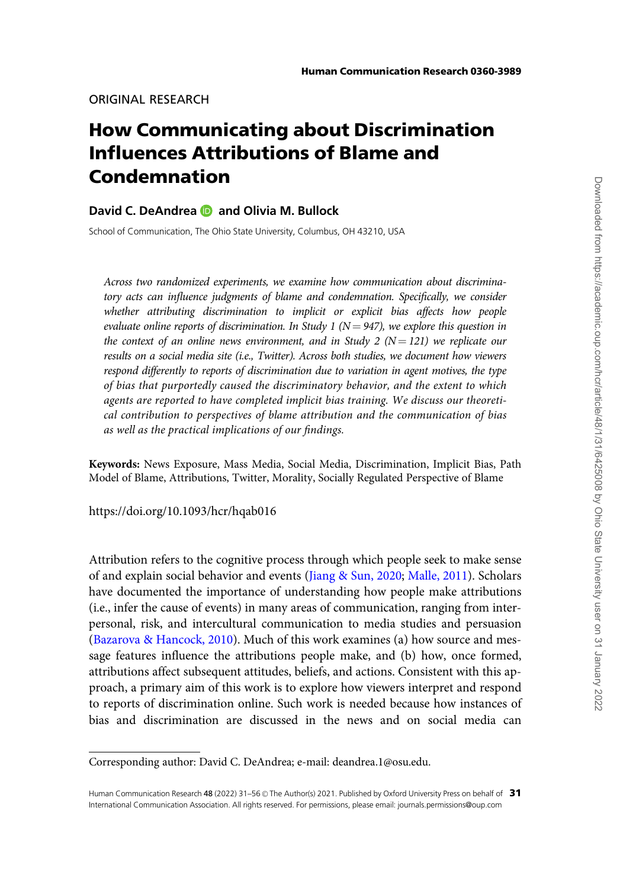ORIGINAL RESEARCH

# How Communicating about Discrimination Influences Attributions of Blame and Condemnation

# David C. DeAndrea **D** and Olivia M. Bullock

School of Communication, The Ohio State University, Columbus, OH 43210, USA

Across two randomized experiments, we examine how communication about discriminatory acts can influence judgments of blame and condemnation. Specifically, we consider whether attributing discrimination to implicit or explicit bias affects how people evaluate online reports of discrimination. In Study 1 ( $N = 947$ ), we explore this question in the context of an online news environment, and in Study 2 ( $N = 121$ ) we replicate our results on a social media site (i.e., Twitter). Across both studies, we document how viewers respond differently to reports of discrimination due to variation in agent motives, the type of bias that purportedly caused the discriminatory behavior, and the extent to which agents are reported to have completed implicit bias training. We discuss our theoretical contribution to perspectives of blame attribution and the communication of bias as well as the practical implications of our findings.

Keywords: News Exposure, Mass Media, Social Media, Discrimination, Implicit Bias, Path Model of Blame, Attributions, Twitter, Morality, Socially Regulated Perspective of Blame

https://doi.org/10.1093/hcr/hqab016

Attribution refers to the cognitive process through which people seek to make sense of and explain social behavior and events [\(Jiang](#page-24-0) & [Sun, 2020;](#page-24-0) [Malle, 2011](#page-24-0)). Scholars have documented the importance of understanding how people make attributions (i.e., infer the cause of events) in many areas of communication, ranging from interpersonal, risk, and intercultural communication to media studies and persuasion ([Bazarova](#page-22-0) & [Hancock, 2010\)](#page-22-0). Much of this work examines (a) how source and message features influence the attributions people make, and (b) how, once formed, attributions affect subsequent attitudes, beliefs, and actions. Consistent with this approach, a primary aim of this work is to explore how viewers interpret and respond to reports of discrimination online. Such work is needed because how instances of bias and discrimination are discussed in the news and on social media can

Corresponding author: David C. DeAndrea; e-mail: deandrea.1@osu.edu.

Human Communication Research 48 (2022) 31-56 © The Author(s) 2021. Published by Oxford University Press on behalf of  $31$ International Communication Association. All rights reserved. For permissions, please email: journals.permissions@oup.com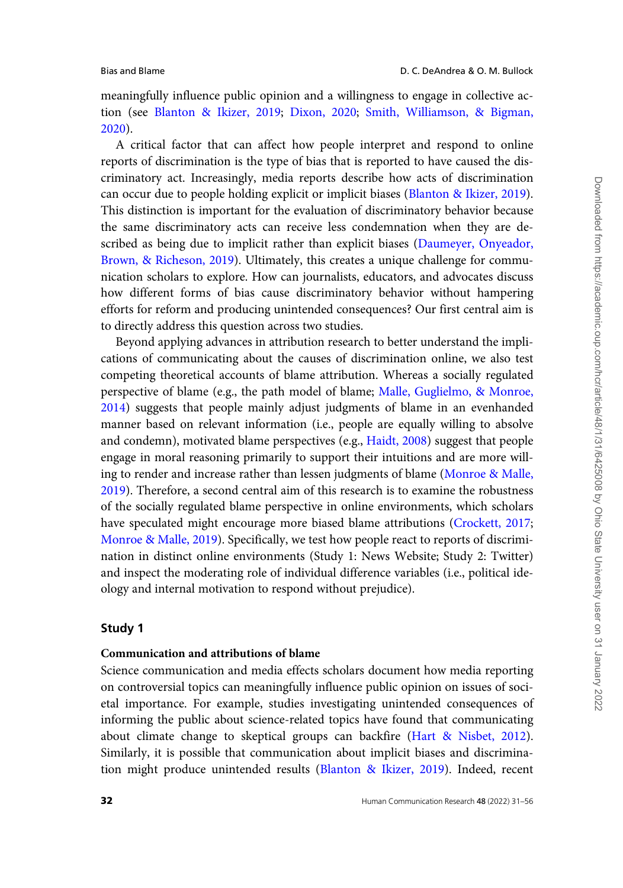meaningfully influence public opinion and a willingness to engage in collective action (see [Blanton](#page-23-0) & [Ikizer, 2019;](#page-23-0) [Dixon, 2020;](#page-23-0) [Smith, Williamson, & Bigman,](#page-25-0) [2020\)](#page-25-0).

A critical factor that can affect how people interpret and respond to online reports of discrimination is the type of bias that is reported to have caused the discriminatory act. Increasingly, media reports describe how acts of discrimination can occur due to people holding explicit or implicit biases [\(Blanton & Ikizer, 2019](#page-23-0)). This distinction is important for the evaluation of discriminatory behavior because the same discriminatory acts can receive less condemnation when they are described as being due to implicit rather than explicit biases ([Daumeyer, Onyeador,](#page-23-0) [Brown,](#page-23-0) & [Richeson, 2019\)](#page-23-0). Ultimately, this creates a unique challenge for communication scholars to explore. How can journalists, educators, and advocates discuss how different forms of bias cause discriminatory behavior without hampering efforts for reform and producing unintended consequences? Our first central aim is to directly address this question across two studies.

Beyond applying advances in attribution research to better understand the implications of communicating about the causes of discrimination online, we also test competing theoretical accounts of blame attribution. Whereas a socially regulated perspective of blame (e.g., the path model of blame; [Malle, Guglielmo,](#page-24-0) & [Monroe,](#page-24-0) [2014\)](#page-24-0) suggests that people mainly adjust judgments of blame in an evenhanded manner based on relevant information (i.e., people are equally willing to absolve and condemn), motivated blame perspectives (e.g., [Haidt, 2008\)](#page-23-0) suggest that people engage in moral reasoning primarily to support their intuitions and are more willing to render and increase rather than lessen judgments of blame [\(Monroe](#page-24-0) & [Malle,](#page-24-0) [2019\)](#page-24-0). Therefore, a second central aim of this research is to examine the robustness of the socially regulated blame perspective in online environments, which scholars have speculated might encourage more biased blame attributions ([Crockett, 2017;](#page-23-0) [Monroe & Malle, 2019](#page-24-0)). Specifically, we test how people react to reports of discrimination in distinct online environments (Study 1: News Website; Study 2: Twitter) and inspect the moderating role of individual difference variables (i.e., political ideology and internal motivation to respond without prejudice).

# Study 1

# Communication and attributions of blame

Science communication and media effects scholars document how media reporting on controversial topics can meaningfully influence public opinion on issues of societal importance. For example, studies investigating unintended consequences of informing the public about science-related topics have found that communicating about climate change to skeptical groups can backfire ([Hart & Nisbet, 2012](#page-23-0)). Similarly, it is possible that communication about implicit biases and discrimination might produce unintended results [\(Blanton](#page-23-0) & [Ikizer, 2019](#page-23-0)). Indeed, recent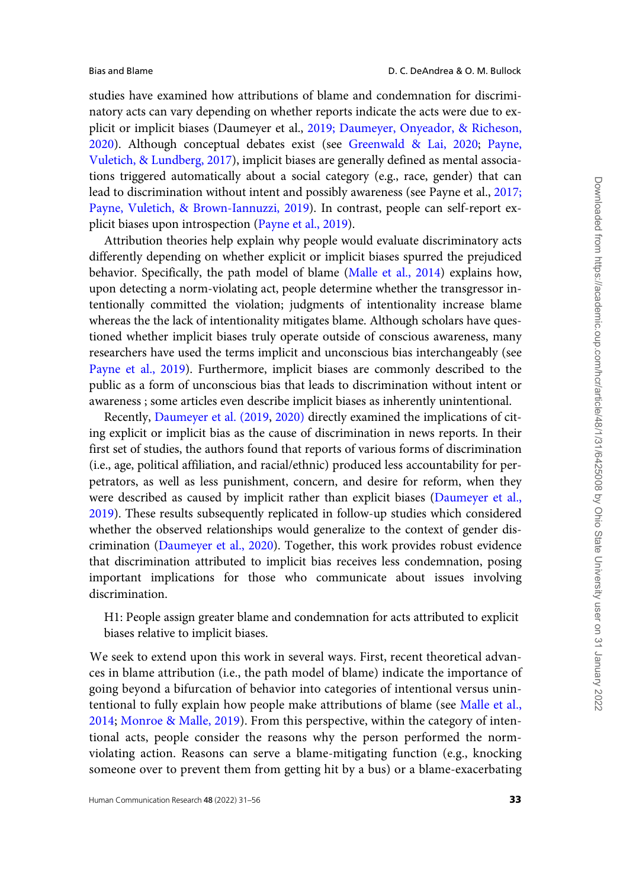studies have examined how attributions of blame and condemnation for discriminatory acts can vary depending on whether reports indicate the acts were due to explicit or implicit biases (Daumeyer et al., [2019; Daumeyer, Onyeador, & Richeson,](#page-23-0) [2020](#page-23-0)). Although conceptual debates exist (see [Greenwald & Lai, 2020](#page-23-0); [Payne,](#page-25-0) [Vuletich, & Lundberg, 2017\)](#page-25-0), implicit biases are generally defined as mental associations triggered automatically about a social category (e.g., race, gender) that can lead to discrimination without intent and possibly awareness (see Payne et al., [2017;](#page-25-0) [Payne, Vuletich,](#page-25-0) & [Brown-Iannuzzi, 2019\)](#page-25-0). In contrast, people can self-report explicit biases upon introspection [\(Payne et al., 2019\)](#page-25-0).

Attribution theories help explain why people would evaluate discriminatory acts differently depending on whether explicit or implicit biases spurred the prejudiced behavior. Specifically, the path model of blame [\(Malle et al., 2014\)](#page-24-0) explains how, upon detecting a norm-violating act, people determine whether the transgressor intentionally committed the violation; judgments of intentionality increase blame whereas the the lack of intentionality mitigates blame. Although scholars have questioned whether implicit biases truly operate outside of conscious awareness, many researchers have used the terms implicit and unconscious bias interchangeably (see [Payne et al., 2019](#page-25-0)). Furthermore, implicit biases are commonly described to the public as a form of unconscious bias that leads to discrimination without intent or awareness ; some articles even describe implicit biases as inherently unintentional.

Recently, [Daumeyer et al. \(2019,](#page-23-0) [2020\)](#page-23-0) directly examined the implications of citing explicit or implicit bias as the cause of discrimination in news reports. In their first set of studies, the authors found that reports of various forms of discrimination (i.e., age, political affiliation, and racial/ethnic) produced less accountability for perpetrators, as well as less punishment, concern, and desire for reform, when they were described as caused by implicit rather than explicit biases [\(Daumeyer et al.,](#page-23-0) [2019](#page-23-0)). These results subsequently replicated in follow-up studies which considered whether the observed relationships would generalize to the context of gender discrimination [\(Daumeyer et al., 2020](#page-23-0)). Together, this work provides robust evidence that discrimination attributed to implicit bias receives less condemnation, posing important implications for those who communicate about issues involving discrimination.

H1: People assign greater blame and condemnation for acts attributed to explicit biases relative to implicit biases.

We seek to extend upon this work in several ways. First, recent theoretical advances in blame attribution (i.e., the path model of blame) indicate the importance of going beyond a bifurcation of behavior into categories of intentional versus unintentional to fully explain how people make attributions of blame (see [Malle et al.,](#page-24-0) [2014;](#page-24-0) [Monroe & Malle, 2019](#page-24-0)). From this perspective, within the category of intentional acts, people consider the reasons why the person performed the normviolating action. Reasons can serve a blame-mitigating function (e.g., knocking someone over to prevent them from getting hit by a bus) or a blame-exacerbating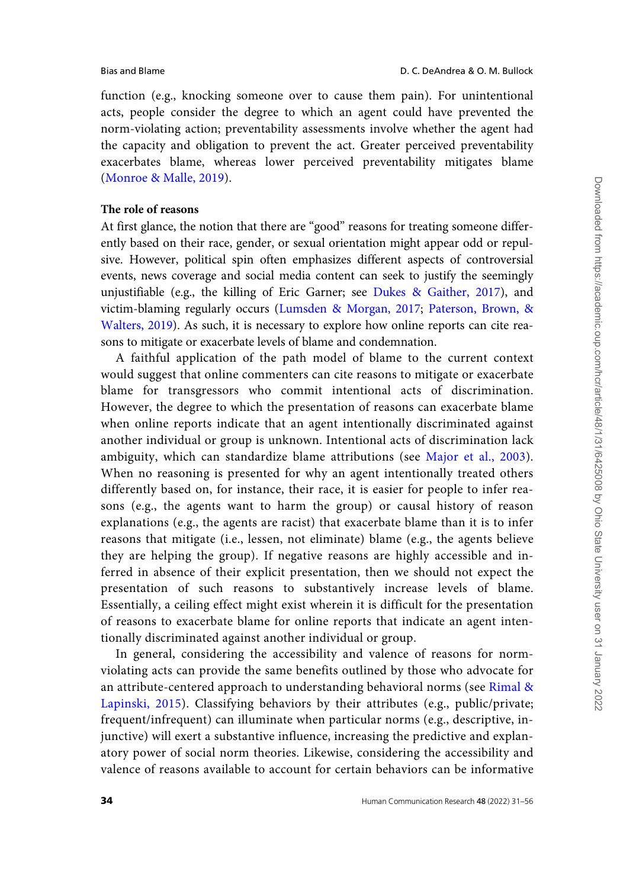function (e.g., knocking someone over to cause them pain). For unintentional acts, people consider the degree to which an agent could have prevented the norm-violating action; preventability assessments involve whether the agent had the capacity and obligation to prevent the act. Greater perceived preventability exacerbates blame, whereas lower perceived preventability mitigates blame [\(Monroe](#page-24-0) & [Malle, 2019\)](#page-24-0).

# The role of reasons

At first glance, the notion that there are "good" reasons for treating someone differently based on their race, gender, or sexual orientation might appear odd or repulsive. However, political spin often emphasizes different aspects of controversial events, news coverage and social media content can seek to justify the seemingly unjustifiable (e.g., the killing of Eric Garner; see [Dukes & Gaither, 2017\)](#page-23-0), and victim-blaming regularly occurs [\(Lumsden](#page-24-0) & [Morgan, 2017;](#page-24-0) [Paterson, Brown, &](#page-25-0) [Walters, 2019\)](#page-25-0). As such, it is necessary to explore how online reports can cite reasons to mitigate or exacerbate levels of blame and condemnation.

A faithful application of the path model of blame to the current context would suggest that online commenters can cite reasons to mitigate or exacerbate blame for transgressors who commit intentional acts of discrimination. However, the degree to which the presentation of reasons can exacerbate blame when online reports indicate that an agent intentionally discriminated against another individual or group is unknown. Intentional acts of discrimination lack ambiguity, which can standardize blame attributions (see [Major et al., 2003](#page-24-0)). When no reasoning is presented for why an agent intentionally treated others differently based on, for instance, their race, it is easier for people to infer reasons (e.g., the agents want to harm the group) or causal history of reason explanations (e.g., the agents are racist) that exacerbate blame than it is to infer reasons that mitigate (i.e., lessen, not eliminate) blame (e.g., the agents believe they are helping the group). If negative reasons are highly accessible and inferred in absence of their explicit presentation, then we should not expect the presentation of such reasons to substantively increase levels of blame. Essentially, a ceiling effect might exist wherein it is difficult for the presentation of reasons to exacerbate blame for online reports that indicate an agent intentionally discriminated against another individual or group.

In general, considering the accessibility and valence of reasons for normviolating acts can provide the same benefits outlined by those who advocate for an attribute-centered approach to understanding behavioral norms (see [Rimal &](#page-25-0) [Lapinski, 2015](#page-25-0)). Classifying behaviors by their attributes (e.g., public/private; frequent/infrequent) can illuminate when particular norms (e.g., descriptive, injunctive) will exert a substantive influence, increasing the predictive and explanatory power of social norm theories. Likewise, considering the accessibility and valence of reasons available to account for certain behaviors can be informative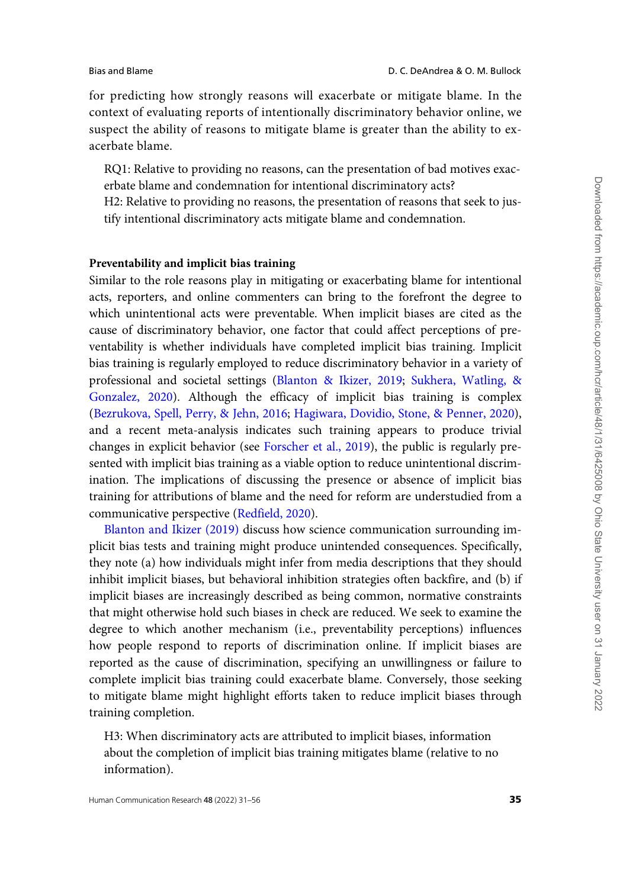for predicting how strongly reasons will exacerbate or mitigate blame. In the context of evaluating reports of intentionally discriminatory behavior online, we suspect the ability of reasons to mitigate blame is greater than the ability to exacerbate blame.

RQ1: Relative to providing no reasons, can the presentation of bad motives exacerbate blame and condemnation for intentional discriminatory acts?

H2: Relative to providing no reasons, the presentation of reasons that seek to justify intentional discriminatory acts mitigate blame and condemnation.

#### Preventability and implicit bias training

Similar to the role reasons play in mitigating or exacerbating blame for intentional acts, reporters, and online commenters can bring to the forefront the degree to which unintentional acts were preventable. When implicit biases are cited as the cause of discriminatory behavior, one factor that could affect perceptions of preventability is whether individuals have completed implicit bias training. Implicit bias training is regularly employed to reduce discriminatory behavior in a variety of professional and societal settings [\(Blanton](#page-23-0) & [Ikizer, 2019;](#page-23-0) [Sukhera, Watling,](#page-25-0) & [Gonzalez, 2020\)](#page-25-0). Although the efficacy of implicit bias training is complex ([Bezrukova, Spell, Perry,](#page-23-0) & [Jehn, 2016;](#page-23-0) [Hagiwara, Dovidio, Stone,](#page-23-0) & [Penner, 2020\)](#page-23-0), and a recent meta-analysis indicates such training appears to produce trivial changes in explicit behavior (see [Forscher et al., 2019\)](#page-23-0), the public is regularly presented with implicit bias training as a viable option to reduce unintentional discrimination. The implications of discussing the presence or absence of implicit bias training for attributions of blame and the need for reform are understudied from a communicative perspective [\(Redfield, 2020\)](#page-25-0).

[Blanton and Ikizer \(2019\)](#page-23-0) discuss how science communication surrounding implicit bias tests and training might produce unintended consequences. Specifically, they note (a) how individuals might infer from media descriptions that they should inhibit implicit biases, but behavioral inhibition strategies often backfire, and (b) if implicit biases are increasingly described as being common, normative constraints that might otherwise hold such biases in check are reduced. We seek to examine the degree to which another mechanism (i.e., preventability perceptions) influences how people respond to reports of discrimination online. If implicit biases are reported as the cause of discrimination, specifying an unwillingness or failure to complete implicit bias training could exacerbate blame. Conversely, those seeking to mitigate blame might highlight efforts taken to reduce implicit biases through training completion.

H3: When discriminatory acts are attributed to implicit biases, information about the completion of implicit bias training mitigates blame (relative to no information).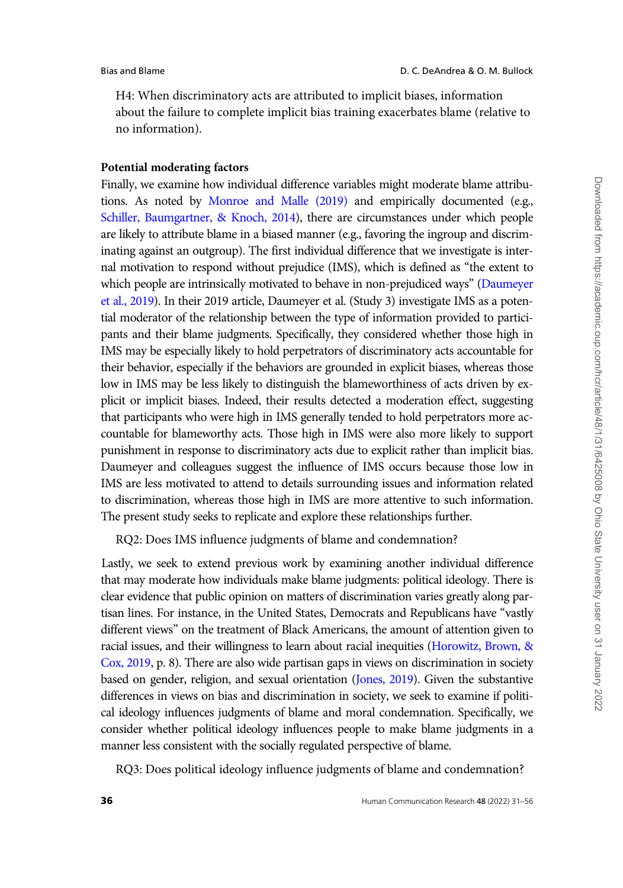H4: When discriminatory acts are attributed to implicit biases, information about the failure to complete implicit bias training exacerbates blame (relative to no information).

#### Potential moderating factors

Finally, we examine how individual difference variables might moderate blame attributions. As noted by [Monroe and Malle \(2019\)](#page-24-0) and empirically documented (e.g., [Schiller, Baumgartner, & Knoch, 2014](#page-25-0)), there are circumstances under which people are likely to attribute blame in a biased manner (e.g., favoring the ingroup and discriminating against an outgroup). The first individual difference that we investigate is internal motivation to respond without prejudice (IMS), which is defined as "the extent to which people are intrinsically motivated to behave in non-prejudiced ways" [\(Daumeyer](#page-23-0) [et al., 2019\)](#page-23-0). In their 2019 article, Daumeyer et al. (Study 3) investigate IMS as a potential moderator of the relationship between the type of information provided to participants and their blame judgments. Specifically, they considered whether those high in IMS may be especially likely to hold perpetrators of discriminatory acts accountable for their behavior, especially if the behaviors are grounded in explicit biases, whereas those low in IMS may be less likely to distinguish the blameworthiness of acts driven by explicit or implicit biases. Indeed, their results detected a moderation effect, suggesting that participants who were high in IMS generally tended to hold perpetrators more accountable for blameworthy acts. Those high in IMS were also more likely to support punishment in response to discriminatory acts due to explicit rather than implicit bias. Daumeyer and colleagues suggest the influence of IMS occurs because those low in IMS are less motivated to attend to details surrounding issues and information related to discrimination, whereas those high in IMS are more attentive to such information. The present study seeks to replicate and explore these relationships further.

RQ2: Does IMS influence judgments of blame and condemnation?

Lastly, we seek to extend previous work by examining another individual difference that may moderate how individuals make blame judgments: political ideology. There is clear evidence that public opinion on matters of discrimination varies greatly along partisan lines. For instance, in the United States, Democrats and Republicans have "vastly different views" on the treatment of Black Americans, the amount of attention given to racial issues, and their willingness to learn about racial inequities ([Horowitz, Brown, &](#page-24-0) [Cox, 2019](#page-24-0), p. 8). There are also wide partisan gaps in views on discrimination in society based on gender, religion, and sexual orientation [\(Jones, 2019\)](#page-24-0). Given the substantive differences in views on bias and discrimination in society, we seek to examine if political ideology influences judgments of blame and moral condemnation. Specifically, we consider whether political ideology influences people to make blame judgments in a manner less consistent with the socially regulated perspective of blame.

RQ3: Does political ideology influence judgments of blame and condemnation?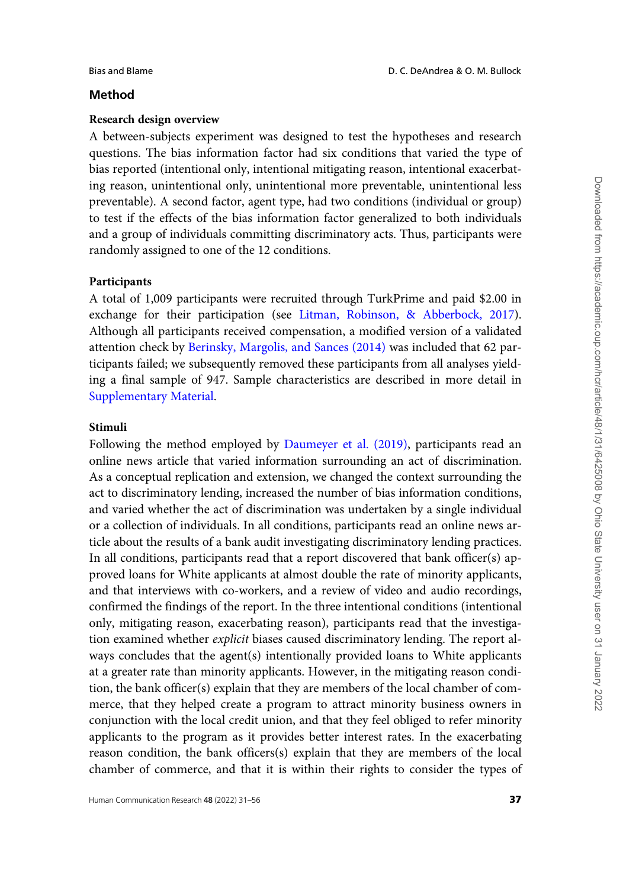# Method

# Research design overview

A between-subjects experiment was designed to test the hypotheses and research questions. The bias information factor had six conditions that varied the type of bias reported (intentional only, intentional mitigating reason, intentional exacerbating reason, unintentional only, unintentional more preventable, unintentional less preventable). A second factor, agent type, had two conditions (individual or group) to test if the effects of the bias information factor generalized to both individuals and a group of individuals committing discriminatory acts. Thus, participants were randomly assigned to one of the 12 conditions.

# Participants

A total of 1,009 participants were recruited through TurkPrime and paid \$2.00 in exchange for their participation (see [Litman, Robinson,](#page-24-0) & [Abberbock, 2017\)](#page-24-0). Although all participants received compensation, a modified version of a validated attention check by [Berinsky, Margolis, and Sances \(2014\)](#page-22-0) was included that 62 participants failed; we subsequently removed these participants from all analyses yielding a final sample of 947. Sample characteristics are described in more detail in [Supplementary Material](https://academic.oup.com/hcr/article-lookup/doi/10.1093/hcr/hqab016#supplementary-data).

# Stimuli

Following the method employed by [Daumeyer et al. \(2019\)](#page-23-0), participants read an online news article that varied information surrounding an act of discrimination. As a conceptual replication and extension, we changed the context surrounding the act to discriminatory lending, increased the number of bias information conditions, and varied whether the act of discrimination was undertaken by a single individual or a collection of individuals. In all conditions, participants read an online news article about the results of a bank audit investigating discriminatory lending practices. In all conditions, participants read that a report discovered that bank officer(s) approved loans for White applicants at almost double the rate of minority applicants, and that interviews with co-workers, and a review of video and audio recordings, confirmed the findings of the report. In the three intentional conditions (intentional only, mitigating reason, exacerbating reason), participants read that the investigation examined whether *explicit* biases caused discriminatory lending. The report always concludes that the agent(s) intentionally provided loans to White applicants at a greater rate than minority applicants. However, in the mitigating reason condition, the bank officer(s) explain that they are members of the local chamber of commerce, that they helped create a program to attract minority business owners in conjunction with the local credit union, and that they feel obliged to refer minority applicants to the program as it provides better interest rates. In the exacerbating reason condition, the bank officers(s) explain that they are members of the local chamber of commerce, and that it is within their rights to consider the types of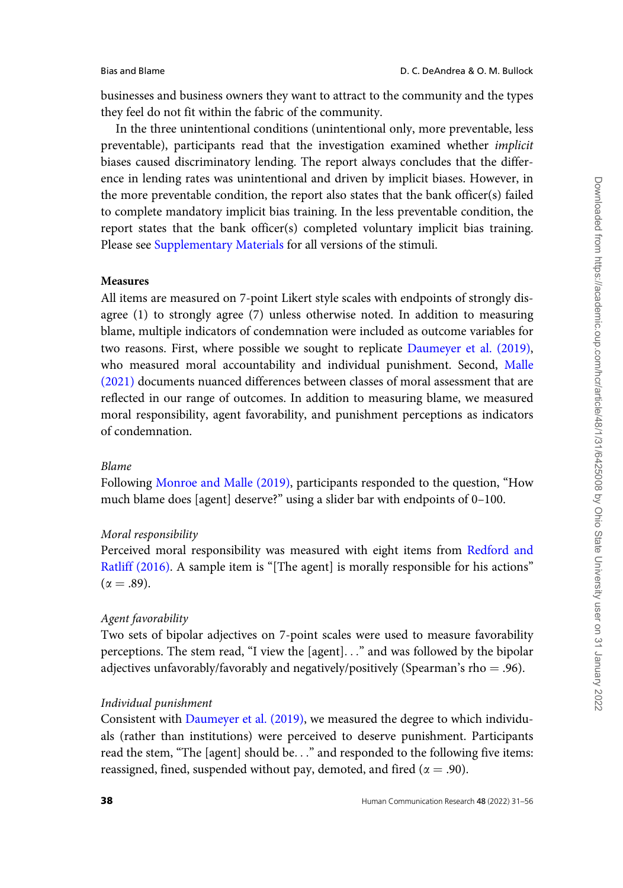businesses and business owners they want to attract to the community and the types they feel do not fit within the fabric of the community.

In the three unintentional conditions (unintentional only, more preventable, less preventable), participants read that the investigation examined whether implicit biases caused discriminatory lending. The report always concludes that the difference in lending rates was unintentional and driven by implicit biases. However, in the more preventable condition, the report also states that the bank officer(s) failed to complete mandatory implicit bias training. In the less preventable condition, the report states that the bank officer(s) completed voluntary implicit bias training. Please see [Supplementary Materials](https://academic.oup.com/hcr/article-lookup/doi/10.1093/hcr/hqab016#supplementary-data) for all versions of the stimuli.

#### Measures

All items are measured on 7-point Likert style scales with endpoints of strongly disagree (1) to strongly agree (7) unless otherwise noted. In addition to measuring blame, multiple indicators of condemnation were included as outcome variables for two reasons. First, where possible we sought to replicate [Daumeyer et al. \(2019\),](#page-23-0) who measured moral accountability and individual punishment. Second, [Malle](#page-24-0) [\(2021\)](#page-24-0) documents nuanced differences between classes of moral assessment that are reflected in our range of outcomes. In addition to measuring blame, we measured moral responsibility, agent favorability, and punishment perceptions as indicators of condemnation.

#### Blame

Following [Monroe and Malle \(2019\)](#page-24-0), participants responded to the question, "How much blame does [agent] deserve?" using a slider bar with endpoints of 0–100.

# Moral responsibility

Perceived moral responsibility was measured with eight items from [Redford and](#page-25-0) [Ratliff \(2016\).](#page-25-0) A sample item is "[The agent] is morally responsible for his actions"  $(\alpha = .89)$ .

#### Agent favorability

Two sets of bipolar adjectives on 7-point scales were used to measure favorability perceptions. The stem read, "I view the [agent]..." and was followed by the bipolar adjectives unfavorably/favorably and negatively/positively (Spearman's rho = .96).

### Individual punishment

Consistent with [Daumeyer et al. \(2019\)](#page-23-0), we measured the degree to which individuals (rather than institutions) were perceived to deserve punishment. Participants read the stem, "The [agent] should be..." and responded to the following five items: reassigned, fined, suspended without pay, demoted, and fired ( $\alpha = .90$ ).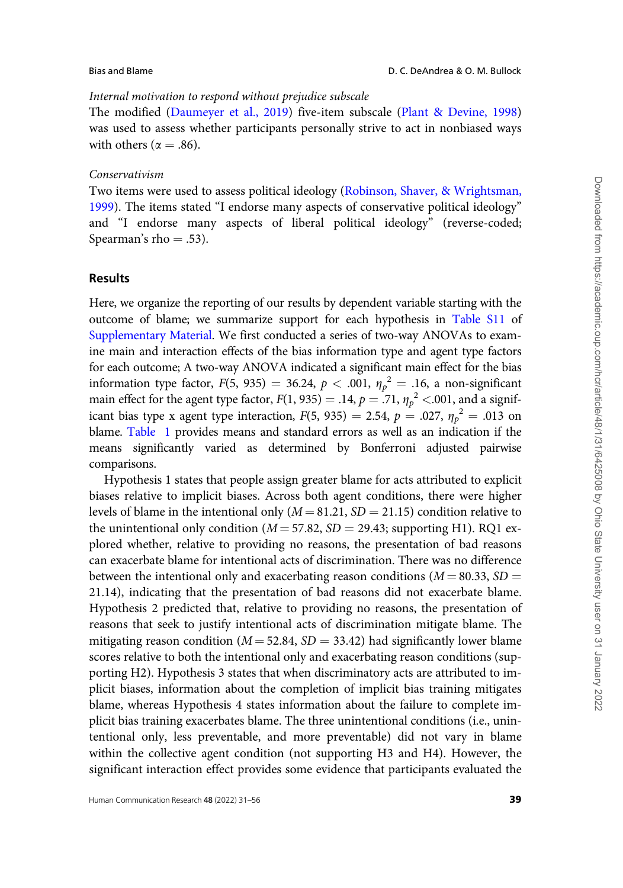# Internal motivation to respond without prejudice subscale

The modified [\(Daumeyer et al., 2019\)](#page-23-0) five-item subscale [\(Plant](#page-25-0) & [Devine, 1998](#page-25-0)) was used to assess whether participants personally strive to act in nonbiased ways with others ( $\alpha = .86$ ).

#### Conservativism

Two items were used to assess political ideology [\(Robinson, Shaver, & Wrightsman,](#page-25-0) [1999](#page-25-0)). The items stated "I endorse many aspects of conservative political ideology" and "I endorse many aspects of liberal political ideology" (reverse-coded; Spearman's rho  $= .53$ ).

#### Results

Here, we organize the reporting of our results by dependent variable starting with the outcome of blame; we summarize support for each hypothesis in [Table S11](https://academic.oup.com/hcr/article-lookup/doi/10.1093/hcr/hqab016#supplementary-data) of [Supplementary Material.](https://academic.oup.com/hcr/article-lookup/doi/10.1093/hcr/hqab016#supplementary-data) We first conducted a series of two-way ANOVAs to examine main and interaction effects of the bias information type and agent type factors for each outcome; A two-way ANOVA indicated a significant main effect for the bias information type factor,  $F(5, 935) = 36.24$ ,  $p < .001$ ,  $\eta_p^2 = .16$ , a non-significant main effect for the agent type factor,  $F(1, 935) = .14$ ,  $p = .71$ ,  $\eta_p^2 < .001$ , and a significant bias type x agent type interaction,  $F(5, 935) = 2.54$ ,  $p = .027$ ,  $\eta_p^2 = .013$  on blame. [Table 1](#page-9-0) provides means and standard errors as well as an indication if the means significantly varied as determined by Bonferroni adjusted pairwise comparisons.

Hypothesis 1 states that people assign greater blame for acts attributed to explicit biases relative to implicit biases. Across both agent conditions, there were higher levels of blame in the intentional only  $(M = 81.21, SD = 21.15)$  condition relative to the unintentional only condition ( $M = 57.82$ ,  $SD = 29.43$ ; supporting H1). RQ1 explored whether, relative to providing no reasons, the presentation of bad reasons can exacerbate blame for intentional acts of discrimination. There was no difference between the intentional only and exacerbating reason conditions ( $M = 80.33$ ,  $SD =$ 21.14), indicating that the presentation of bad reasons did not exacerbate blame. Hypothesis 2 predicted that, relative to providing no reasons, the presentation of reasons that seek to justify intentional acts of discrimination mitigate blame. The mitigating reason condition ( $M = 52.84$ ,  $SD = 33.42$ ) had significantly lower blame scores relative to both the intentional only and exacerbating reason conditions (supporting H2). Hypothesis 3 states that when discriminatory acts are attributed to implicit biases, information about the completion of implicit bias training mitigates blame, whereas Hypothesis 4 states information about the failure to complete implicit bias training exacerbates blame. The three unintentional conditions (i.e., unintentional only, less preventable, and more preventable) did not vary in blame within the collective agent condition (not supporting H3 and H4). However, the significant interaction effect provides some evidence that participants evaluated the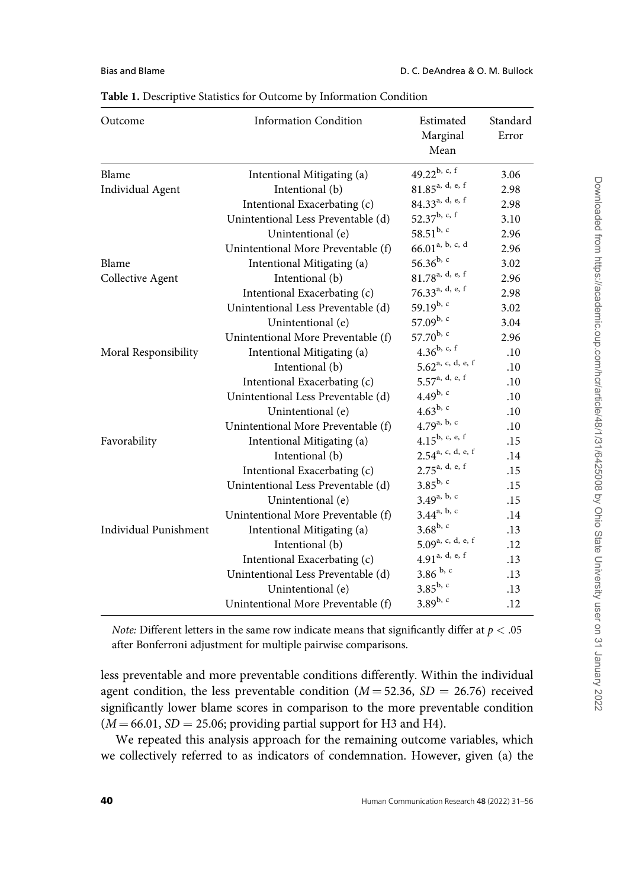| Outcome                      | <b>Information Condition</b>       | Estimated<br>Marginal<br>Mean   | Standard<br>Error |
|------------------------------|------------------------------------|---------------------------------|-------------------|
| Blame                        | Intentional Mitigating (a)         | 49.22b, c, f                    | 3.06              |
| <b>Individual Agent</b>      | Intentional (b)                    | $81.85$ <sup>a, d, e, f</sup>   | 2.98              |
|                              | Intentional Exacerbating (c)       | 84.33 <sup>a, d, e, f</sup>     | 2.98              |
|                              | Unintentional Less Preventable (d) | 52.37b, c, f                    | 3.10              |
|                              | Unintentional (e)                  | 58.51 $^{\rm b, c}$             | 2.96              |
|                              | Unintentional More Preventable (f) | $66.01^{a, b, c, d}$            | 2.96              |
| Blame                        | Intentional Mitigating (a)         | $56.36^{b, c}$                  | 3.02              |
| Collective Agent             | Intentional (b)                    | 81.78 <sup>a, d, e, f</sup>     | 2.96              |
|                              | Intentional Exacerbating (c)       | 76.33 <sup>a, d, e, f</sup>     | 2.98              |
|                              | Unintentional Less Preventable (d) | 59.19 <sup>b, c</sup>           | 3.02              |
|                              | Unintentional (e)                  | 57.09b, c                       | 3.04              |
|                              | Unintentional More Preventable (f) | 57.70 $^{\rm b, c}$             | 2.96              |
| Moral Responsibility         | Intentional Mitigating (a)         | $4.36^{b, c, f}$                | .10               |
|                              | Intentional (b)                    | $5.62$ <sup>a, c, d, e, f</sup> | .10               |
|                              | Intentional Exacerbating (c)       | 5.57 <sup>a, d, e, f</sup>      | .10               |
|                              | Unintentional Less Preventable (d) | 4.49 $^{b, c}$                  | .10               |
|                              | Unintentional (e)                  | $4.63^{b, c}$                   | .10               |
|                              | Unintentional More Preventable (f) | $4.79^{a, b, c}$                | .10               |
| Favorability                 | Intentional Mitigating (a)         | $4.15^{b, c, e, f}$             | .15               |
|                              | Intentional (b)                    | $2.54^{a, c, d, e, f}$          | .14               |
|                              | Intentional Exacerbating (c)       | $2.75^{a, d, e, f}$             | .15               |
|                              | Unintentional Less Preventable (d) | $3.85^{b, c}$                   | .15               |
|                              | Unintentional (e)                  | $3.49^{a, b, c}$                | .15               |
|                              | Unintentional More Preventable (f) | $3.44^{a, b, c}$                | .14               |
| <b>Individual Punishment</b> | Intentional Mitigating (a)         | $3.68^{b, c}$                   | .13               |
|                              | Intentional (b)                    | 5.09 <sup>a, c, d, e, f</sup>   | .12               |
|                              | Intentional Exacerbating (c)       | 4.91 <sup>a, d, e, f</sup>      | .13               |
|                              | Unintentional Less Preventable (d) | $3.86^{b, c}$                   | .13               |
|                              | Unintentional (e)                  | $3.85^{b, c}$                   | .13               |
|                              | Unintentional More Preventable (f) | $3.89^{b, c}$                   | .12               |

<span id="page-9-0"></span>Table 1. Descriptive Statistics for Outcome by Information Condition

Note: Different letters in the same row indicate means that significantly differ at  $p < .05$ after Bonferroni adjustment for multiple pairwise comparisons.

less preventable and more preventable conditions differently. Within the individual agent condition, the less preventable condition ( $M = 52.36$ ,  $SD = 26.76$ ) received significantly lower blame scores in comparison to the more preventable condition  $(M = 66.01, SD = 25.06;$  providing partial support for H3 and H4).

We repeated this analysis approach for the remaining outcome variables, which we collectively referred to as indicators of condemnation. However, given (a) the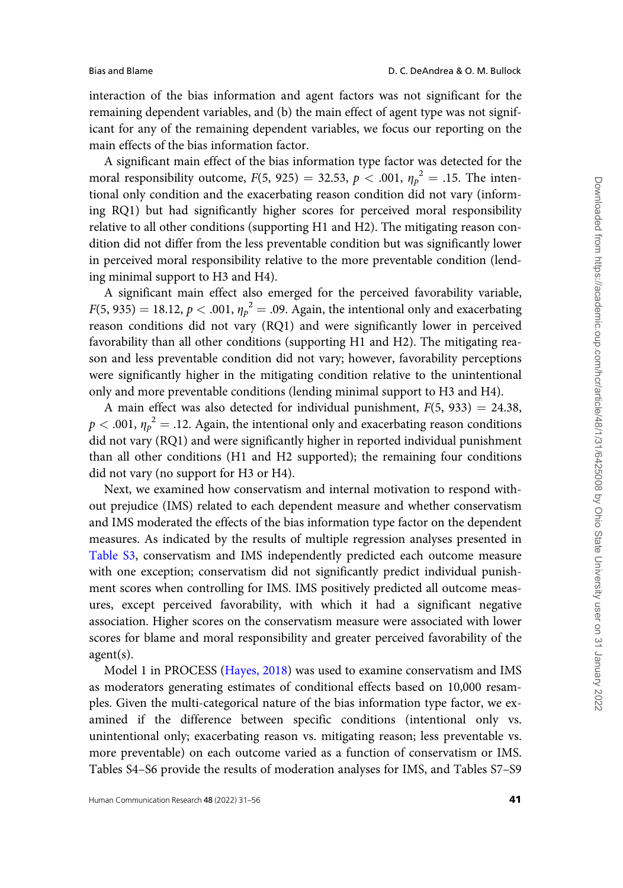interaction of the bias information and agent factors was not significant for the remaining dependent variables, and (b) the main effect of agent type was not significant for any of the remaining dependent variables, we focus our reporting on the main effects of the bias information factor.

A significant main effect of the bias information type factor was detected for the moral responsibility outcome,  $F(5, 925) = 32.53$ ,  $p < .001$ ,  $\eta_p^2 = .15$ . The intentional only condition and the exacerbating reason condition did not vary (informing RQ1) but had significantly higher scores for perceived moral responsibility relative to all other conditions (supporting H1 and H2). The mitigating reason condition did not differ from the less preventable condition but was significantly lower in perceived moral responsibility relative to the more preventable condition (lending minimal support to H3 and H4).

A significant main effect also emerged for the perceived favorability variable,  $F(5, 935) = 18.12, p < .001, \eta_p^2 = .09$ . Again, the intentional only and exacerbating reason conditions did not vary (RQ1) and were significantly lower in perceived favorability than all other conditions (supporting H1 and H2). The mitigating reason and less preventable condition did not vary; however, favorability perceptions were significantly higher in the mitigating condition relative to the unintentional only and more preventable conditions (lending minimal support to H3 and H4).

A main effect was also detected for individual punishment,  $F(5, 933) = 24.38$ ,  $p < .001$ ,  ${\eta_p}^2 = .12$ . Again, the intentional only and exacerbating reason conditions did not vary (RQ1) and were significantly higher in reported individual punishment than all other conditions (H1 and H2 supported); the remaining four conditions did not vary (no support for H3 or H4).

Next, we examined how conservatism and internal motivation to respond without prejudice (IMS) related to each dependent measure and whether conservatism and IMS moderated the effects of the bias information type factor on the dependent measures. As indicated by the results of multiple regression analyses presented in [Table S3,](https://academic.oup.com/hcr/article-lookup/doi/10.1093/hcr/hqab016#supplementary-data) conservatism and IMS independently predicted each outcome measure with one exception; conservatism did not significantly predict individual punishment scores when controlling for IMS. IMS positively predicted all outcome measures, except perceived favorability, with which it had a significant negative association. Higher scores on the conservatism measure were associated with lower scores for blame and moral responsibility and greater perceived favorability of the agent(s).

Model 1 in PROCESS [\(Hayes, 2018\)](#page-24-0) was used to examine conservatism and IMS as moderators generating estimates of conditional effects based on 10,000 resamples. Given the multi-categorical nature of the bias information type factor, we examined if the difference between specific conditions (intentional only vs. unintentional only; exacerbating reason vs. mitigating reason; less preventable vs. more preventable) on each outcome varied as a function of conservatism or IMS. Tables S4–S6 provide the results of moderation analyses for IMS, and Tables S7–S9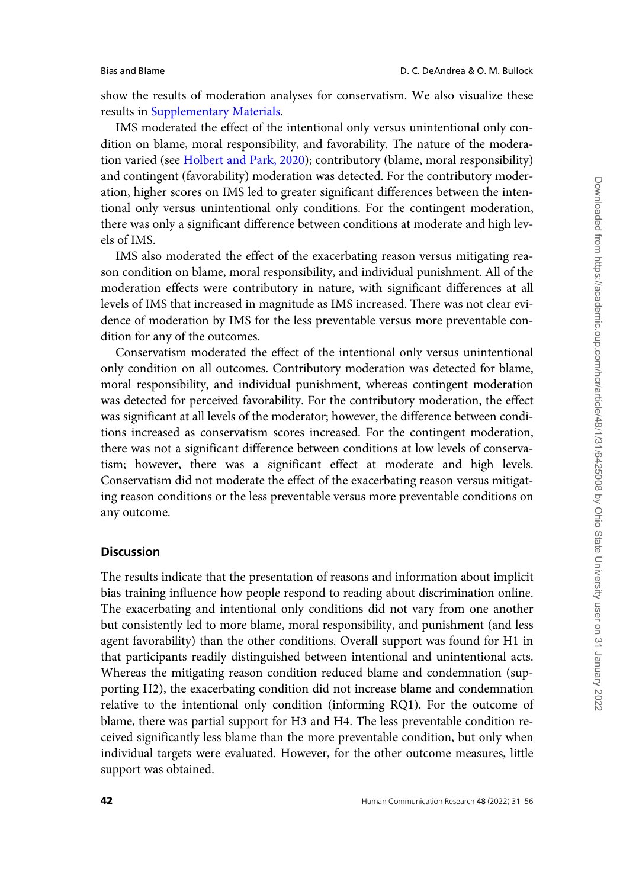show the results of moderation analyses for conservatism. We also visualize these results in [Supplementary Materials](https://academic.oup.com/hcr/article-lookup/doi/10.1093/hcr/hqab016#supplementary-data).

IMS moderated the effect of the intentional only versus unintentional only condition on blame, moral responsibility, and favorability. The nature of the moderation varied (see [Holbert and Park, 2020\)](#page-24-0); contributory (blame, moral responsibility) and contingent (favorability) moderation was detected. For the contributory moderation, higher scores on IMS led to greater significant differences between the intentional only versus unintentional only conditions. For the contingent moderation, there was only a significant difference between conditions at moderate and high levels of IMS.

IMS also moderated the effect of the exacerbating reason versus mitigating reason condition on blame, moral responsibility, and individual punishment. All of the moderation effects were contributory in nature, with significant differences at all levels of IMS that increased in magnitude as IMS increased. There was not clear evidence of moderation by IMS for the less preventable versus more preventable condition for any of the outcomes.

Conservatism moderated the effect of the intentional only versus unintentional only condition on all outcomes. Contributory moderation was detected for blame, moral responsibility, and individual punishment, whereas contingent moderation was detected for perceived favorability. For the contributory moderation, the effect was significant at all levels of the moderator; however, the difference between conditions increased as conservatism scores increased. For the contingent moderation, there was not a significant difference between conditions at low levels of conservatism; however, there was a significant effect at moderate and high levels. Conservatism did not moderate the effect of the exacerbating reason versus mitigating reason conditions or the less preventable versus more preventable conditions on any outcome.

# Discussion

The results indicate that the presentation of reasons and information about implicit bias training influence how people respond to reading about discrimination online. The exacerbating and intentional only conditions did not vary from one another but consistently led to more blame, moral responsibility, and punishment (and less agent favorability) than the other conditions. Overall support was found for H1 in that participants readily distinguished between intentional and unintentional acts. Whereas the mitigating reason condition reduced blame and condemnation (supporting H2), the exacerbating condition did not increase blame and condemnation relative to the intentional only condition (informing RQ1). For the outcome of blame, there was partial support for H3 and H4. The less preventable condition received significantly less blame than the more preventable condition, but only when individual targets were evaluated. However, for the other outcome measures, little support was obtained.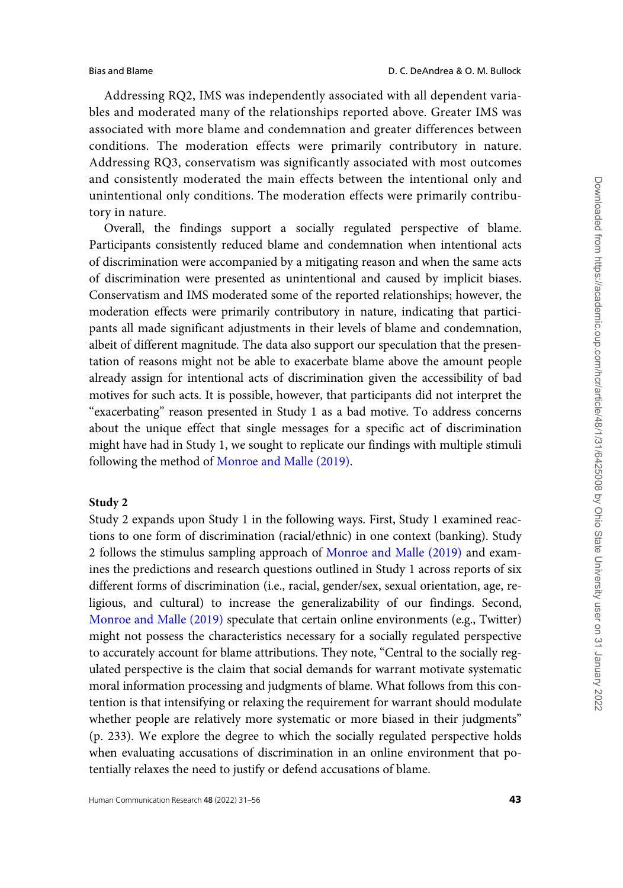Addressing RQ2, IMS was independently associated with all dependent variables and moderated many of the relationships reported above. Greater IMS was associated with more blame and condemnation and greater differences between conditions. The moderation effects were primarily contributory in nature. Addressing RQ3, conservatism was significantly associated with most outcomes and consistently moderated the main effects between the intentional only and unintentional only conditions. The moderation effects were primarily contributory in nature.

Overall, the findings support a socially regulated perspective of blame. Participants consistently reduced blame and condemnation when intentional acts of discrimination were accompanied by a mitigating reason and when the same acts of discrimination were presented as unintentional and caused by implicit biases. Conservatism and IMS moderated some of the reported relationships; however, the moderation effects were primarily contributory in nature, indicating that participants all made significant adjustments in their levels of blame and condemnation, albeit of different magnitude. The data also support our speculation that the presentation of reasons might not be able to exacerbate blame above the amount people already assign for intentional acts of discrimination given the accessibility of bad motives for such acts. It is possible, however, that participants did not interpret the "exacerbating" reason presented in Study 1 as a bad motive. To address concerns about the unique effect that single messages for a specific act of discrimination might have had in Study 1, we sought to replicate our findings with multiple stimuli following the method of [Monroe and Malle \(2019\)](#page-24-0).

### Study 2

Study 2 expands upon Study 1 in the following ways. First, Study 1 examined reactions to one form of discrimination (racial/ethnic) in one context (banking). Study 2 follows the stimulus sampling approach of [Monroe and Malle \(2019\)](#page-24-0) and examines the predictions and research questions outlined in Study 1 across reports of six different forms of discrimination (i.e., racial, gender/sex, sexual orientation, age, religious, and cultural) to increase the generalizability of our findings. Second, [Monroe and Malle \(2019\)](#page-24-0) speculate that certain online environments (e.g., Twitter) might not possess the characteristics necessary for a socially regulated perspective to accurately account for blame attributions. They note, "Central to the socially regulated perspective is the claim that social demands for warrant motivate systematic moral information processing and judgments of blame. What follows from this contention is that intensifying or relaxing the requirement for warrant should modulate whether people are relatively more systematic or more biased in their judgments" (p. 233). We explore the degree to which the socially regulated perspective holds when evaluating accusations of discrimination in an online environment that potentially relaxes the need to justify or defend accusations of blame.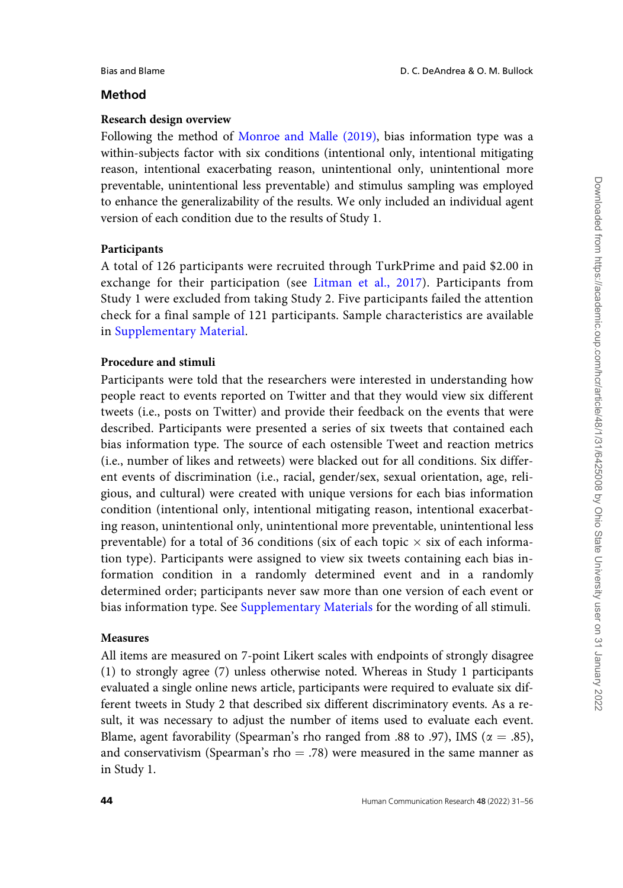#### Bias and Blame D. C. DeAndrea & O. M. Bullock

# Method

# Research design overview

Following the method of [Monroe and Malle \(2019\)](#page-24-0), bias information type was a within-subjects factor with six conditions (intentional only, intentional mitigating reason, intentional exacerbating reason, unintentional only, unintentional more preventable, unintentional less preventable) and stimulus sampling was employed to enhance the generalizability of the results. We only included an individual agent version of each condition due to the results of Study 1.

# Participants

A total of 126 participants were recruited through TurkPrime and paid \$2.00 in exchange for their participation (see [Litman et al., 2017](#page-24-0)). Participants from Study 1 were excluded from taking Study 2. Five participants failed the attention check for a final sample of 121 participants. Sample characteristics are available in [Supplementary Material](https://academic.oup.com/hcr/article-lookup/doi/10.1093/hcr/hqab016#supplementary-data).

# Procedure and stimuli

Participants were told that the researchers were interested in understanding how people react to events reported on Twitter and that they would view six different tweets (i.e., posts on Twitter) and provide their feedback on the events that were described. Participants were presented a series of six tweets that contained each bias information type. The source of each ostensible Tweet and reaction metrics (i.e., number of likes and retweets) were blacked out for all conditions. Six different events of discrimination (i.e., racial, gender/sex, sexual orientation, age, religious, and cultural) were created with unique versions for each bias information condition (intentional only, intentional mitigating reason, intentional exacerbating reason, unintentional only, unintentional more preventable, unintentional less preventable) for a total of 36 conditions (six of each topic  $\times$  six of each information type). Participants were assigned to view six tweets containing each bias information condition in a randomly determined event and in a randomly determined order; participants never saw more than one version of each event or bias information type. See [Supplementary Materials](https://academic.oup.com/hcr/article-lookup/doi/10.1093/hcr/hqab016#supplementary-data) for the wording of all stimuli.

# Measures

All items are measured on 7-point Likert scales with endpoints of strongly disagree (1) to strongly agree (7) unless otherwise noted. Whereas in Study 1 participants evaluated a single online news article, participants were required to evaluate six different tweets in Study 2 that described six different discriminatory events. As a result, it was necessary to adjust the number of items used to evaluate each event. Blame, agent favorability (Spearman's rho ranged from .88 to .97), IMS ( $\alpha = .85$ ), and conservativism (Spearman's rho  $= .78$ ) were measured in the same manner as in Study 1.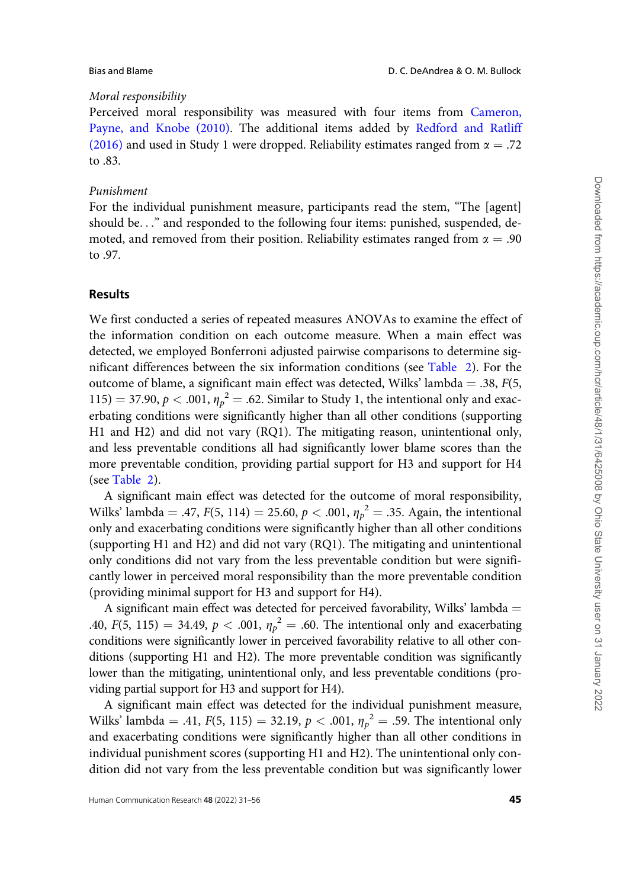# Moral responsibility

Perceived moral responsibility was measured with four items from [Cameron,](#page-23-0) [Payne, and Knobe \(2010\)](#page-23-0). The additional items added by [Redford and Ratliff](#page-25-0) [\(2016\)](#page-25-0) and used in Study 1 were dropped. Reliability estimates ranged from  $\alpha = .72$ to .83.

#### Punishment

For the individual punishment measure, participants read the stem, "The [agent] should be..." and responded to the following four items: punished, suspended, demoted, and removed from their position. Reliability estimates ranged from  $\alpha = .90$ to .97.

#### Results

We first conducted a series of repeated measures ANOVAs to examine the effect of the information condition on each outcome measure. When a main effect was detected, we employed Bonferroni adjusted pairwise comparisons to determine significant differences between the six information conditions (see [Table 2](#page-15-0)). For the outcome of blame, a significant main effect was detected, Wilks' lambda = .38,  $F(5, 1)$ 115) = 37.90,  $p < .001$ ,  $\eta_p^2 = .62$ . Similar to Study 1, the intentional only and exacerbating conditions were significantly higher than all other conditions (supporting H1 and H2) and did not vary (RQ1). The mitigating reason, unintentional only, and less preventable conditions all had significantly lower blame scores than the more preventable condition, providing partial support for H3 and support for H4 (see [Table 2](#page-15-0)).

A significant main effect was detected for the outcome of moral responsibility, Wilks' lambda = .47,  $F(5, 114) = 25.60, p < .001, \eta_p^2 = .35$ . Again, the intentional only and exacerbating conditions were significantly higher than all other conditions (supporting H1 and H2) and did not vary (RQ1). The mitigating and unintentional only conditions did not vary from the less preventable condition but were significantly lower in perceived moral responsibility than the more preventable condition (providing minimal support for H3 and support for H4).

A significant main effect was detected for perceived favorability, Wilks' lambda  $=$ .40,  $F(5, 115) = 34.49, p < .001, \eta_p^2 = .60$ . The intentional only and exacerbating conditions were significantly lower in perceived favorability relative to all other conditions (supporting H1 and H2). The more preventable condition was significantly lower than the mitigating, unintentional only, and less preventable conditions (providing partial support for H3 and support for H4).

A significant main effect was detected for the individual punishment measure, Wilks' lambda = .41,  $F(5, 115) = 32.19, p < .001, \eta_p^2 = .59$ . The intentional only and exacerbating conditions were significantly higher than all other conditions in individual punishment scores (supporting H1 and H2). The unintentional only condition did not vary from the less preventable condition but was significantly lower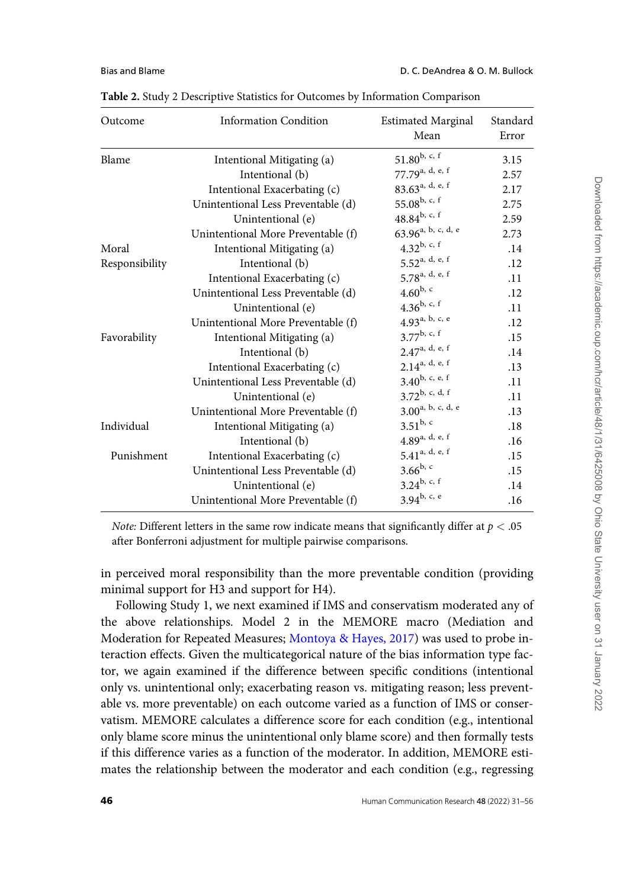| Outcome        | <b>Information Condition</b>       | <b>Estimated Marginal</b><br>Mean | Standard<br>Error |
|----------------|------------------------------------|-----------------------------------|-------------------|
| Blame          | Intentional Mitigating (a)         | $51.80^{b, c, f}$                 | 3.15              |
|                | Intentional (b)                    | 77.79a, d, e, f                   | 2.57              |
|                | Intentional Exacerbating (c)       | 83.63 <sup>a, d, e, f</sup>       | 2.17              |
|                | Unintentional Less Preventable (d) | $55.08^{\rm b, c, f}$             | 2.75              |
|                | Unintentional (e)                  | $48.84^{b, c, f}$                 | 2.59              |
|                | Unintentional More Preventable (f) | 63.96 <sup>a, b, c, d, e</sup>    | 2.73              |
| Moral          | Intentional Mitigating (a)         | 4.32 $^{b, c, f}$                 | .14               |
| Responsibility | Intentional (b)                    | $5.52$ <sup>a, d, e, f</sup>      | .12               |
|                | Intentional Exacerbating (c)       | 5.78 <sup>a, d, e, f</sup>        | .11               |
|                | Unintentional Less Preventable (d) | $4.60^{b, c}$                     | .12               |
|                | Unintentional (e)                  | $4.36^{b, c, f}$                  | .11               |
|                | Unintentional More Preventable (f) | 4.93 <sup>a, b, c, e</sup>        | .12               |
| Favorability   | Intentional Mitigating (a)         | $3.77^{b, c, f}$                  | .15               |
|                | Intentional (b)                    | 2.47 <sup>a, d, e, f</sup>        | .14               |
|                | Intentional Exacerbating (c)       | $2.14^{a, d, e, f}$               | .13               |
|                | Unintentional Less Preventable (d) | $3.40^{b, c, e, f}$               | .11               |
|                | Unintentional (e)                  | $3.72^{b, c, d, f}$               | .11               |
|                | Unintentional More Preventable (f) | 3.00 <sup>a, b, c, d, e</sup>     | .13               |
| Individual     | Intentional Mitigating (a)         | $3.51^{b, c}$                     | .18               |
|                | Intentional (b)                    | $4.89$ a, d, e, f                 | .16               |
| Punishment     | Intentional Exacerbating (c)       | $5.41^{a, d, e, f}$               | .15               |
|                | Unintentional Less Preventable (d) | $3.66^{b, c}$                     | .15               |
|                | Unintentional (e)                  | $3.24^{b, c, f}$                  | .14               |
|                | Unintentional More Preventable (f) | $3.94^{b, c, e}$                  | .16               |

<span id="page-15-0"></span>Table 2. Study 2 Descriptive Statistics for Outcomes by Information Comparison

*Note:* Different letters in the same row indicate means that significantly differ at  $p < .05$ after Bonferroni adjustment for multiple pairwise comparisons.

in perceived moral responsibility than the more preventable condition (providing minimal support for H3 and support for H4).

Following Study 1, we next examined if IMS and conservatism moderated any of the above relationships. Model 2 in the MEMORE macro (Mediation and Moderation for Repeated Measures; [Montoya & Hayes, 2017\)](#page-24-0) was used to probe interaction effects. Given the multicategorical nature of the bias information type factor, we again examined if the difference between specific conditions (intentional only vs. unintentional only; exacerbating reason vs. mitigating reason; less preventable vs. more preventable) on each outcome varied as a function of IMS or conservatism. MEMORE calculates a difference score for each condition (e.g., intentional only blame score minus the unintentional only blame score) and then formally tests if this difference varies as a function of the moderator. In addition, MEMORE estimates the relationship between the moderator and each condition (e.g., regressing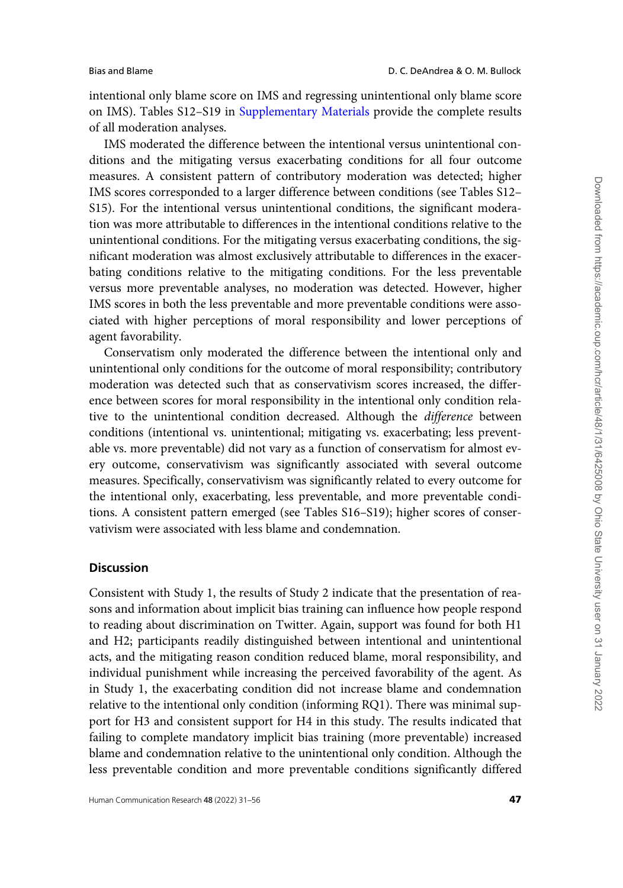intentional only blame score on IMS and regressing unintentional only blame score on IMS). Tables S12–S19 in [Supplementary Materials](https://academic.oup.com/hcr/article-lookup/doi/10.1093/hcr/hqab016#supplementary-data) provide the complete results of all moderation analyses.

IMS moderated the difference between the intentional versus unintentional conditions and the mitigating versus exacerbating conditions for all four outcome measures. A consistent pattern of contributory moderation was detected; higher IMS scores corresponded to a larger difference between conditions (see Tables S12– S15). For the intentional versus unintentional conditions, the significant moderation was more attributable to differences in the intentional conditions relative to the unintentional conditions. For the mitigating versus exacerbating conditions, the significant moderation was almost exclusively attributable to differences in the exacerbating conditions relative to the mitigating conditions. For the less preventable versus more preventable analyses, no moderation was detected. However, higher IMS scores in both the less preventable and more preventable conditions were associated with higher perceptions of moral responsibility and lower perceptions of agent favorability.

Conservatism only moderated the difference between the intentional only and unintentional only conditions for the outcome of moral responsibility; contributory moderation was detected such that as conservativism scores increased, the difference between scores for moral responsibility in the intentional only condition relative to the unintentional condition decreased. Although the difference between conditions (intentional vs. unintentional; mitigating vs. exacerbating; less preventable vs. more preventable) did not vary as a function of conservatism for almost every outcome, conservativism was significantly associated with several outcome measures. Specifically, conservativism was significantly related to every outcome for the intentional only, exacerbating, less preventable, and more preventable conditions. A consistent pattern emerged (see Tables S16–S19); higher scores of conservativism were associated with less blame and condemnation.

# **Discussion**

Consistent with Study 1, the results of Study 2 indicate that the presentation of reasons and information about implicit bias training can influence how people respond to reading about discrimination on Twitter. Again, support was found for both H1 and H2; participants readily distinguished between intentional and unintentional acts, and the mitigating reason condition reduced blame, moral responsibility, and individual punishment while increasing the perceived favorability of the agent. As in Study 1, the exacerbating condition did not increase blame and condemnation relative to the intentional only condition (informing RQ1). There was minimal support for H3 and consistent support for H4 in this study. The results indicated that failing to complete mandatory implicit bias training (more preventable) increased blame and condemnation relative to the unintentional only condition. Although the less preventable condition and more preventable conditions significantly differed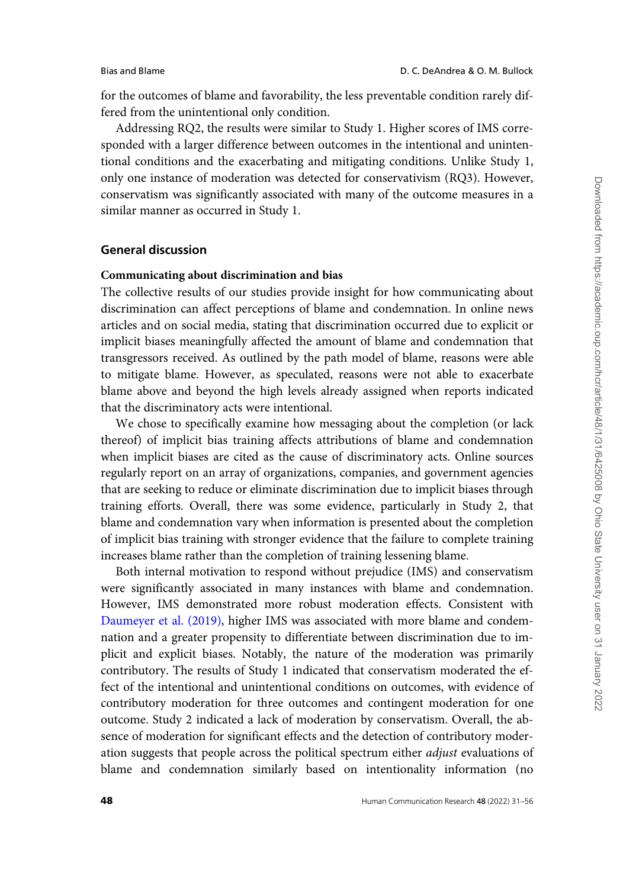for the outcomes of blame and favorability, the less preventable condition rarely differed from the unintentional only condition.

Addressing RQ2, the results were similar to Study 1. Higher scores of IMS corresponded with a larger difference between outcomes in the intentional and unintentional conditions and the exacerbating and mitigating conditions. Unlike Study 1, only one instance of moderation was detected for conservativism (RQ3). However, conservatism was significantly associated with many of the outcome measures in a similar manner as occurred in Study 1.

# General discussion

# Communicating about discrimination and bias

The collective results of our studies provide insight for how communicating about discrimination can affect perceptions of blame and condemnation. In online news articles and on social media, stating that discrimination occurred due to explicit or implicit biases meaningfully affected the amount of blame and condemnation that transgressors received. As outlined by the path model of blame, reasons were able to mitigate blame. However, as speculated, reasons were not able to exacerbate blame above and beyond the high levels already assigned when reports indicated that the discriminatory acts were intentional.

We chose to specifically examine how messaging about the completion (or lack thereof) of implicit bias training affects attributions of blame and condemnation when implicit biases are cited as the cause of discriminatory acts. Online sources regularly report on an array of organizations, companies, and government agencies that are seeking to reduce or eliminate discrimination due to implicit biases through training efforts. Overall, there was some evidence, particularly in Study 2, that blame and condemnation vary when information is presented about the completion of implicit bias training with stronger evidence that the failure to complete training increases blame rather than the completion of training lessening blame.

Both internal motivation to respond without prejudice (IMS) and conservatism were significantly associated in many instances with blame and condemnation. However, IMS demonstrated more robust moderation effects. Consistent with [Daumeyer et al. \(2019\)](#page-23-0), higher IMS was associated with more blame and condemnation and a greater propensity to differentiate between discrimination due to implicit and explicit biases. Notably, the nature of the moderation was primarily contributory. The results of Study 1 indicated that conservatism moderated the effect of the intentional and unintentional conditions on outcomes, with evidence of contributory moderation for three outcomes and contingent moderation for one outcome. Study 2 indicated a lack of moderation by conservatism. Overall, the absence of moderation for significant effects and the detection of contributory moderation suggests that people across the political spectrum either adjust evaluations of blame and condemnation similarly based on intentionality information (no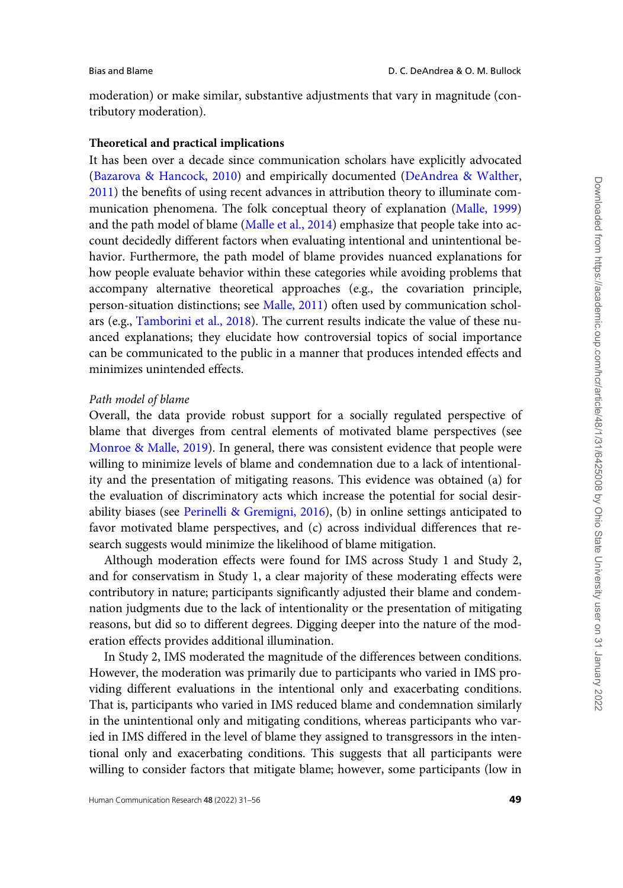moderation) or make similar, substantive adjustments that vary in magnitude (contributory moderation).

### Theoretical and practical implications

It has been over a decade since communication scholars have explicitly advocated ([Bazarova & Hancock, 2010](#page-22-0)) and empirically documented [\(DeAndrea](#page-23-0) & [Walther,](#page-23-0) [2011](#page-23-0)) the benefits of using recent advances in attribution theory to illuminate communication phenomena. The folk conceptual theory of explanation [\(Malle, 1999](#page-24-0)) and the path model of blame ([Malle et al., 2014](#page-24-0)) emphasize that people take into account decidedly different factors when evaluating intentional and unintentional behavior. Furthermore, the path model of blame provides nuanced explanations for how people evaluate behavior within these categories while avoiding problems that accompany alternative theoretical approaches (e.g., the covariation principle, person-situation distinctions; see [Malle, 2011](#page-24-0)) often used by communication scholars (e.g., [Tamborini et al., 2018](#page-25-0)). The current results indicate the value of these nuanced explanations; they elucidate how controversial topics of social importance can be communicated to the public in a manner that produces intended effects and minimizes unintended effects.

#### Path model of blame

Overall, the data provide robust support for a socially regulated perspective of blame that diverges from central elements of motivated blame perspectives (see [Monroe & Malle, 2019](#page-24-0)). In general, there was consistent evidence that people were willing to minimize levels of blame and condemnation due to a lack of intentionality and the presentation of mitigating reasons. This evidence was obtained (a) for the evaluation of discriminatory acts which increase the potential for social desirability biases (see [Perinelli & Gremigni, 2016\)](#page-25-0), (b) in online settings anticipated to favor motivated blame perspectives, and (c) across individual differences that research suggests would minimize the likelihood of blame mitigation.

Although moderation effects were found for IMS across Study 1 and Study 2, and for conservatism in Study 1, a clear majority of these moderating effects were contributory in nature; participants significantly adjusted their blame and condemnation judgments due to the lack of intentionality or the presentation of mitigating reasons, but did so to different degrees. Digging deeper into the nature of the moderation effects provides additional illumination.

In Study 2, IMS moderated the magnitude of the differences between conditions. However, the moderation was primarily due to participants who varied in IMS providing different evaluations in the intentional only and exacerbating conditions. That is, participants who varied in IMS reduced blame and condemnation similarly in the unintentional only and mitigating conditions, whereas participants who varied in IMS differed in the level of blame they assigned to transgressors in the intentional only and exacerbating conditions. This suggests that all participants were willing to consider factors that mitigate blame; however, some participants (low in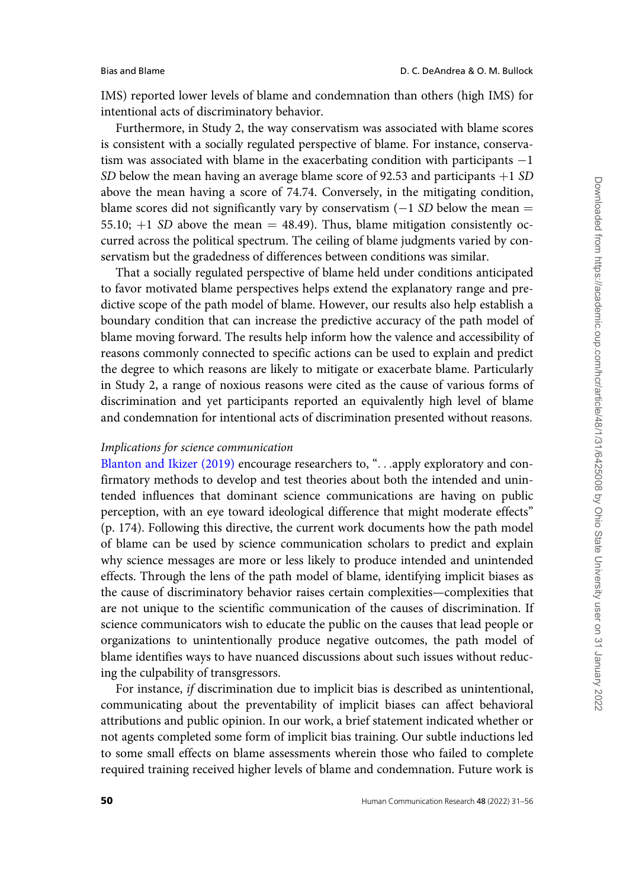IMS) reported lower levels of blame and condemnation than others (high IMS) for intentional acts of discriminatory behavior.

Furthermore, in Study 2, the way conservatism was associated with blame scores is consistent with a socially regulated perspective of blame. For instance, conservatism was associated with blame in the exacerbating condition with participants  $-1$ SD below the mean having an average blame score of 92.53 and participants  $+1$  SD above the mean having a score of 74.74. Conversely, in the mitigating condition, blame scores did not significantly vary by conservatism  $(-1 S_D)$  below the mean  $=$ 55.10;  $+1$  SD above the mean = 48.49). Thus, blame mitigation consistently occurred across the political spectrum. The ceiling of blame judgments varied by conservatism but the gradedness of differences between conditions was similar.

That a socially regulated perspective of blame held under conditions anticipated to favor motivated blame perspectives helps extend the explanatory range and predictive scope of the path model of blame. However, our results also help establish a boundary condition that can increase the predictive accuracy of the path model of blame moving forward. The results help inform how the valence and accessibility of reasons commonly connected to specific actions can be used to explain and predict the degree to which reasons are likely to mitigate or exacerbate blame. Particularly in Study 2, a range of noxious reasons were cited as the cause of various forms of discrimination and yet participants reported an equivalently high level of blame and condemnation for intentional acts of discrimination presented without reasons.

# Implications for science communication

[Blanton and Ikizer \(2019\)](#page-23-0) encourage researchers to, "...apply exploratory and confirmatory methods to develop and test theories about both the intended and unintended influences that dominant science communications are having on public perception, with an eye toward ideological difference that might moderate effects" (p. 174). Following this directive, the current work documents how the path model of blame can be used by science communication scholars to predict and explain why science messages are more or less likely to produce intended and unintended effects. Through the lens of the path model of blame, identifying implicit biases as the cause of discriminatory behavior raises certain complexities—complexities that are not unique to the scientific communication of the causes of discrimination. If science communicators wish to educate the public on the causes that lead people or organizations to unintentionally produce negative outcomes, the path model of blame identifies ways to have nuanced discussions about such issues without reducing the culpability of transgressors.

For instance, if discrimination due to implicit bias is described as unintentional, communicating about the preventability of implicit biases can affect behavioral attributions and public opinion. In our work, a brief statement indicated whether or not agents completed some form of implicit bias training. Our subtle inductions led to some small effects on blame assessments wherein those who failed to complete required training received higher levels of blame and condemnation. Future work is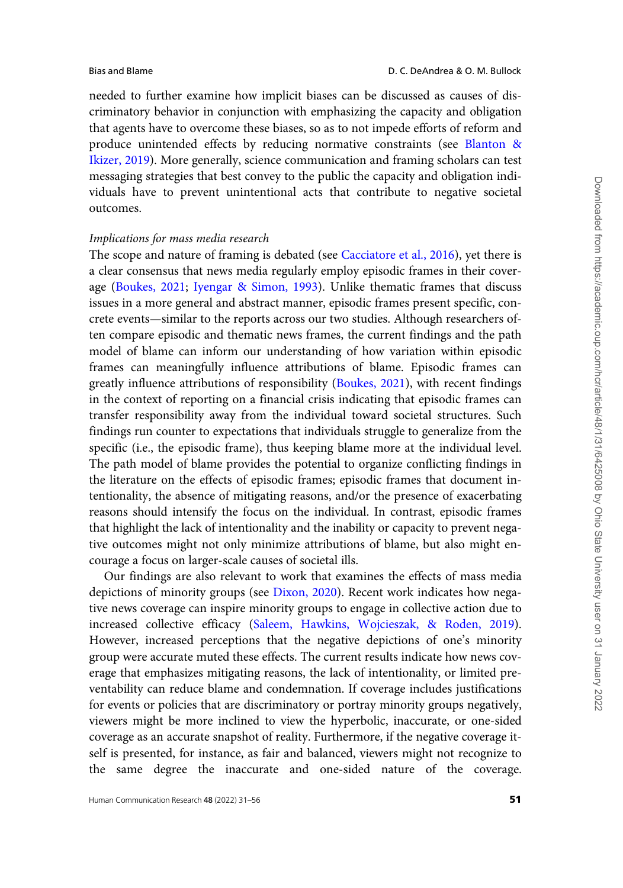needed to further examine how implicit biases can be discussed as causes of discriminatory behavior in conjunction with emphasizing the capacity and obligation that agents have to overcome these biases, so as to not impede efforts of reform and produce unintended effects by reducing normative constraints (see [Blanton](#page-23-0) & [Ikizer, 2019](#page-23-0)). More generally, science communication and framing scholars can test messaging strategies that best convey to the public the capacity and obligation individuals have to prevent unintentional acts that contribute to negative societal outcomes.

# Implications for mass media research

The scope and nature of framing is debated (see [Cacciatore et al., 2016](#page-23-0)), yet there is a clear consensus that news media regularly employ episodic frames in their coverage ([Boukes, 2021](#page-23-0); [Iyengar](#page-24-0) & [Simon, 1993\)](#page-24-0). Unlike thematic frames that discuss issues in a more general and abstract manner, episodic frames present specific, concrete events—similar to the reports across our two studies. Although researchers often compare episodic and thematic news frames, the current findings and the path model of blame can inform our understanding of how variation within episodic frames can meaningfully influence attributions of blame. Episodic frames can greatly influence attributions of responsibility ([Boukes, 2021](#page-23-0)), with recent findings in the context of reporting on a financial crisis indicating that episodic frames can transfer responsibility away from the individual toward societal structures. Such findings run counter to expectations that individuals struggle to generalize from the specific (i.e., the episodic frame), thus keeping blame more at the individual level. The path model of blame provides the potential to organize conflicting findings in the literature on the effects of episodic frames; episodic frames that document intentionality, the absence of mitigating reasons, and/or the presence of exacerbating reasons should intensify the focus on the individual. In contrast, episodic frames that highlight the lack of intentionality and the inability or capacity to prevent negative outcomes might not only minimize attributions of blame, but also might encourage a focus on larger-scale causes of societal ills.

Our findings are also relevant to work that examines the effects of mass media depictions of minority groups (see [Dixon, 2020](#page-23-0)). Recent work indicates how negative news coverage can inspire minority groups to engage in collective action due to increased collective efficacy [\(Saleem, Hawkins, Wojcieszak,](#page-25-0) & [Roden, 2019\)](#page-25-0). However, increased perceptions that the negative depictions of one's minority group were accurate muted these effects. The current results indicate how news coverage that emphasizes mitigating reasons, the lack of intentionality, or limited preventability can reduce blame and condemnation. If coverage includes justifications for events or policies that are discriminatory or portray minority groups negatively, viewers might be more inclined to view the hyperbolic, inaccurate, or one-sided coverage as an accurate snapshot of reality. Furthermore, if the negative coverage itself is presented, for instance, as fair and balanced, viewers might not recognize to the same degree the inaccurate and one-sided nature of the coverage.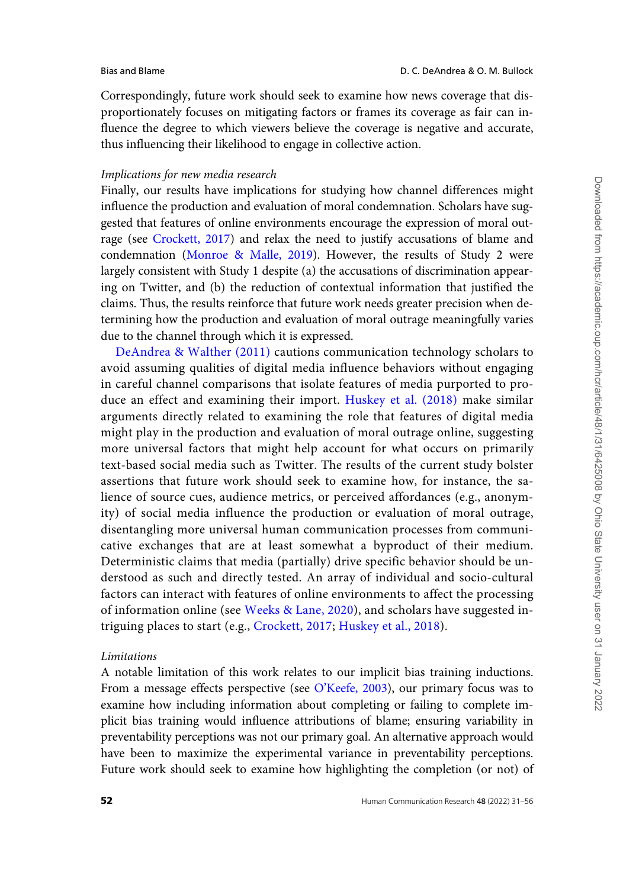Correspondingly, future work should seek to examine how news coverage that disproportionately focuses on mitigating factors or frames its coverage as fair can influence the degree to which viewers believe the coverage is negative and accurate, thus influencing their likelihood to engage in collective action.

#### Implications for new media research

Finally, our results have implications for studying how channel differences might influence the production and evaluation of moral condemnation. Scholars have suggested that features of online environments encourage the expression of moral outrage (see [Crockett, 2017\)](#page-23-0) and relax the need to justify accusations of blame and condemnation [\(Monroe & Malle, 2019](#page-24-0)). However, the results of Study 2 were largely consistent with Study 1 despite (a) the accusations of discrimination appearing on Twitter, and (b) the reduction of contextual information that justified the claims. Thus, the results reinforce that future work needs greater precision when determining how the production and evaluation of moral outrage meaningfully varies due to the channel through which it is expressed.

[DeAndrea & Walther \(2011\)](#page-24-0) cautions communication technology scholars to avoid assuming qualities of digital media influence behaviors without engaging in careful channel comparisons that isolate features of media purported to produce an effect and examining their import. [Huskey et al. \(2018\)](#page-24-0) make similar arguments directly related to examining the role that features of digital media might play in the production and evaluation of moral outrage online, suggesting more universal factors that might help account for what occurs on primarily text-based social media such as Twitter. The results of the current study bolster assertions that future work should seek to examine how, for instance, the salience of source cues, audience metrics, or perceived affordances (e.g., anonymity) of social media influence the production or evaluation of moral outrage, disentangling more universal human communication processes from communicative exchanges that are at least somewhat a byproduct of their medium. Deterministic claims that media (partially) drive specific behavior should be understood as such and directly tested. An array of individual and socio-cultural factors can interact with features of online environments to affect the processing of information online (see [Weeks](#page-25-0) & [Lane, 2020\)](#page-25-0), and scholars have suggested intriguing places to start (e.g., [Crockett, 2017](#page-23-0); [Huskey et al., 2018\)](#page-24-0).

# Limitations

A notable limitation of this work relates to our implicit bias training inductions. From a message effects perspective (see [O'Keefe, 2003\)](#page-25-0), our primary focus was to examine how including information about completing or failing to complete implicit bias training would influence attributions of blame; ensuring variability in preventability perceptions was not our primary goal. An alternative approach would have been to maximize the experimental variance in preventability perceptions. Future work should seek to examine how highlighting the completion (or not) of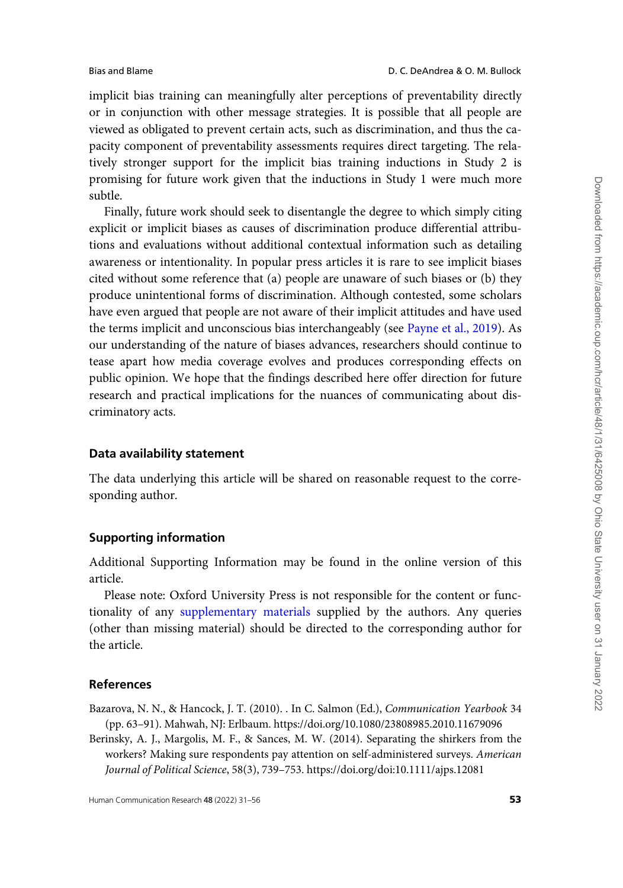<span id="page-22-0"></span>implicit bias training can meaningfully alter perceptions of preventability directly or in conjunction with other message strategies. It is possible that all people are viewed as obligated to prevent certain acts, such as discrimination, and thus the capacity component of preventability assessments requires direct targeting. The relatively stronger support for the implicit bias training inductions in Study 2 is promising for future work given that the inductions in Study 1 were much more subtle.

Finally, future work should seek to disentangle the degree to which simply citing explicit or implicit biases as causes of discrimination produce differential attributions and evaluations without additional contextual information such as detailing awareness or intentionality. In popular press articles it is rare to see implicit biases cited without some reference that (a) people are unaware of such biases or (b) they produce unintentional forms of discrimination. Although contested, some scholars have even argued that people are not aware of their implicit attitudes and have used the terms implicit and unconscious bias interchangeably (see [Payne et al., 2019](#page-25-0)). As our understanding of the nature of biases advances, researchers should continue to tease apart how media coverage evolves and produces corresponding effects on public opinion. We hope that the findings described here offer direction for future research and practical implications for the nuances of communicating about discriminatory acts.

### Data availability statement

The data underlying this article will be shared on reasonable request to the corresponding author.

### Supporting information

Additional Supporting Information may be found in the online version of this article.

Please note: Oxford University Press is not responsible for the content or functionality of any [supplementary materials](https://academic.oup.com/hcr/article-lookup/doi/10.1093/hcr/hqab016#supplementary-data) supplied by the authors. Any queries (other than missing material) should be directed to the corresponding author for the article.

### References

Bazarova, N. N., & Hancock, J. T. (2010). . In C. Salmon (Ed.), Communication Yearbook 34 (pp. 63–91). Mahwah, NJ: Erlbaum.<https://doi.org/10.1080/23808985.2010.11679096>

Berinsky, A. J., Margolis, M. F., & Sances, M. W. (2014). Separating the shirkers from the workers? Making sure respondents pay attention on self-administered surveys. American Journal of Political Science, 58(3), 739–753.<https://doi.org/doi:10.1111/ajps.12081>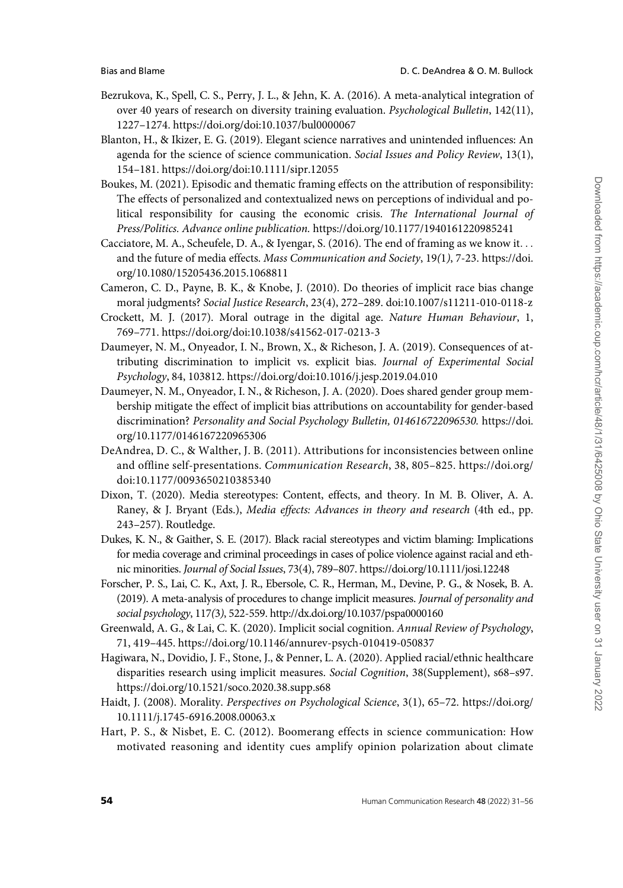- <span id="page-23-0"></span>Bezrukova, K., Spell, C. S., Perry, J. L., & Jehn, K. A. (2016). A meta-analytical integration of over 40 years of research on diversity training evaluation. Psychological Bulletin, 142(11), 1227–1274.<https://doi.org/doi:10.1037/bul0000067>
- Blanton, H., & Ikizer, E. G. (2019). Elegant science narratives and unintended influences: An agenda for the science of science communication. Social Issues and Policy Review, 13(1), 154–181.<https://doi.org/doi:10.1111/sipr.12055>
- Boukes, M. (2021). Episodic and thematic framing effects on the attribution of responsibility: The effects of personalized and contextualized news on perceptions of individual and political responsibility for causing the economic crisis. The International Journal of Press/Politics. Advance online publication. <https://doi.org/10.1177/1940161220985241>
- Cacciatore, M. A., Scheufele, D. A., & Iyengar, S. (2016). The end of framing as we know it... and the future of media effects. Mass Communication and Society, 19(1), 7-23. [https://doi.](https://doi.org/10.1080/15205436.2015.1068811) [org/10.1080/15205436.2015.1068811](https://doi.org/10.1080/15205436.2015.1068811)
- Cameron, C. D., Payne, B. K., & Knobe, J. (2010). Do theories of implicit race bias change moral judgments? Social Justice Research, 23(4), 272–289. doi:10.1007/s11211-010-0118-z
- Crockett, M. J. (2017). Moral outrage in the digital age. Nature Human Behaviour, 1, 769–771.<https://doi.org/doi:10.1038/s41562-017-0213-3>
- Daumeyer, N. M., Onyeador, I. N., Brown, X., & Richeson, J. A. (2019). Consequences of attributing discrimination to implicit vs. explicit bias. Journal of Experimental Social Psychology, 84, 103812.<https://doi.org/doi:10.1016/j.jesp.2019.04.010>
- Daumeyer, N. M., Onyeador, I. N., & Richeson, J. A. (2020). Does shared gender group membership mitigate the effect of implicit bias attributions on accountability for gender-based discrimination? Personality and Social Psychology Bulletin, 014616722096530. [https://doi.](https://doi.org/10.1177/0146167220965306) [org/10.1177/0146167220965306](https://doi.org/10.1177/0146167220965306)
- DeAndrea, D. C., & Walther, J. B. (2011). Attributions for inconsistencies between online and offline self-presentations. Communication Research, 38, 805–825. [https://doi.org/](https://doi.org/doi:10.1177/0093650210385340) [doi:10.1177/0093650210385340](https://doi.org/doi:10.1177/0093650210385340)
- Dixon, T. (2020). Media stereotypes: Content, effects, and theory. In M. B. Oliver, A. A. Raney, & J. Bryant (Eds.), Media effects: Advances in theory and research (4th ed., pp. 243–257). Routledge.
- Dukes, K. N., & Gaither, S. E. (2017). Black racial stereotypes and victim blaming: Implications for media coverage and criminal proceedings in cases of police violence against racial and ethnic minorities. Journal of Social Issues, 73(4), 789–807.<https://doi.org/10.1111/josi.12248>
- Forscher, P. S., Lai, C. K., Axt, J. R., Ebersole, C. R., Herman, M., Devine, P. G., & Nosek, B. A. (2019). A meta-analysis of procedures to change implicit measures. Journal of personality and social psychology, 117(3), 522-559.<http://dx.doi.org/10.1037/pspa0000160>
- Greenwald, A. G., & Lai, C. K. (2020). Implicit social cognition. Annual Review of Psychology, 71, 419–445.<https://doi.org/10.1146/annurev-psych-010419-050837>
- Hagiwara, N., Dovidio, J. F., Stone, J., & Penner, L. A. (2020). Applied racial/ethnic healthcare disparities research using implicit measures. Social Cognition, 38(Supplement), s68–s97. <https://doi.org/10.1521/soco.2020.38.supp.s68>
- Haidt, J. (2008). Morality. Perspectives on Psychological Science, 3(1), 65–72. [https://doi.org/](https://doi.org/10.1111/j.1745-6916.2008.00063.x) [10.1111/j.1745-6916.2008.00063.x](https://doi.org/10.1111/j.1745-6916.2008.00063.x)
- Hart, P. S., & Nisbet, E. C. (2012). Boomerang effects in science communication: How motivated reasoning and identity cues amplify opinion polarization about climate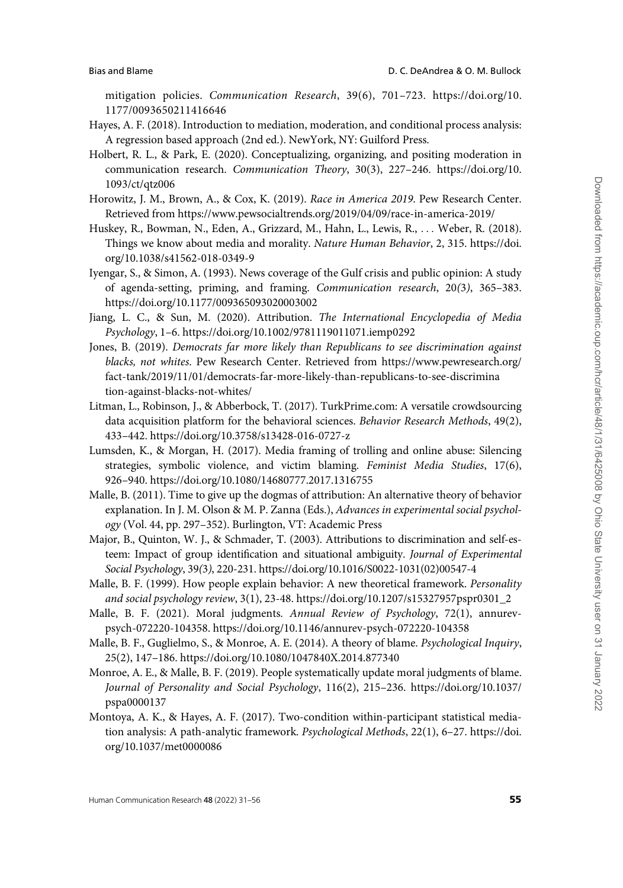<span id="page-24-0"></span>mitigation policies. Communication Research, 39(6), 701–723. [https://doi.org/10.](https://doi.org/10.1177/0093650211416646) [1177/0093650211416646](https://doi.org/10.1177/0093650211416646)

- Hayes, A. F. (2018). Introduction to mediation, moderation, and conditional process analysis: A regression based approach (2nd ed.). NewYork, NY: Guilford Press.
- Holbert, R. L., & Park, E. (2020). Conceptualizing, organizing, and positing moderation in communication research. Communication Theory, 30(3), 227–246. [https://doi.org/10.](https://doi.org/10.1093/ct/qtz006) [1093/ct/qtz006](https://doi.org/10.1093/ct/qtz006)
- Horowitz, J. M., Brown, A., & Cox, K. (2019). Race in America 2019. Pew Research Center. Retrieved from<https://www.pewsocialtrends.org/2019/04/09/race-in-america-2019/>
- Huskey, R., Bowman, N., Eden, A., Grizzard, M., Hahn, L., Lewis, R., ... Weber, R. (2018). Things we know about media and morality. Nature Human Behavior, 2, 315. [https://doi.](https://doi.org/10.1038/s41562-018-0349-9) [org/10.1038/s41562-018-0349-9](https://doi.org/10.1038/s41562-018-0349-9)
- Iyengar, S., & Simon, A. (1993). News coverage of the Gulf crisis and public opinion: A study of agenda-setting, priming, and framing. Communication research, 20(3), 365–383. <https://doi.org/10.1177/009365093020003002>
- Jiang, L. C., & Sun, M. (2020). Attribution. The International Encyclopedia of Media Psychology, 1–6.<https://doi.org/10.1002/9781119011071.iemp0292>
- Jones, B. (2019). Democrats far more likely than Republicans to see discrimination against blacks, not whites. Pew Research Center. Retrieved from [https://www.pewresearch.org/](https://www.pewresearch.org/fact-tank/2019/11/01/democrats-far-more-likely-than-republicans-to-see-discrimination-against-blacks-not-whites/) [fact-tank/2019/11/01/democrats-far-more-likely-than-republicans-to-see-discrimina](https://www.pewresearch.org/fact-tank/2019/11/01/democrats-far-more-likely-than-republicans-to-see-discrimination-against-blacks-not-whites/) [tion-against-blacks-not-whites/](https://www.pewresearch.org/fact-tank/2019/11/01/democrats-far-more-likely-than-republicans-to-see-discrimination-against-blacks-not-whites/)
- Litman, L., Robinson, J., & Abberbock, T. (2017). TurkPrime.com: A versatile crowdsourcing data acquisition platform for the behavioral sciences. Behavior Research Methods, 49(2), 433–442.<https://doi.org/10.3758/s13428-016-0727-z>
- Lumsden, K., & Morgan, H. (2017). Media framing of trolling and online abuse: Silencing strategies, symbolic violence, and victim blaming. Feminist Media Studies, 17(6), 926–940.<https://doi.org/10.1080/14680777.2017.1316755>
- Malle, B. (2011). Time to give up the dogmas of attribution: An alternative theory of behavior explanation. In J. M. Olson & M. P. Zanna (Eds.), Advances in experimental social psychology (Vol. 44, pp. 297–352). Burlington, VT: Academic Press
- Major, B., Quinton, W. J., & Schmader, T. (2003). Attributions to discrimination and self-esteem: Impact of group identification and situational ambiguity. Journal of Experimental Social Psychology, 39(3), 220-231. [https://doi.org/10.1016/S0022-1031\(02\)00547-4](https://doi.org/10.1016/S0022-1031(02)00547-4)
- Malle, B. F. (1999). How people explain behavior: A new theoretical framework. Personality and social psychology review, 3(1), 23-48. [https://doi.org/10.1207/s15327957pspr0301\\_2](https://doi.org/10.1207/s15327957pspr0301_2)
- Malle, B. F. (2021). Moral judgments. Annual Review of Psychology, 72(1), annurevpsych-072220-104358.<https://doi.org/10.1146/annurev-psych-072220-104358>
- Malle, B. F., Guglielmo, S., & Monroe, A. E. (2014). A theory of blame. Psychological Inquiry, 25(2), 147–186.<https://doi.org/10.1080/1047840X.2014.877340>
- Monroe, A. E., & Malle, B. F. (2019). People systematically update moral judgments of blame. Journal of Personality and Social Psychology, 116(2), 215–236. [https://doi.org/10.1037/](https://doi.org/10.1037/pspa0000137) [pspa0000137](https://doi.org/10.1037/pspa0000137)
- Montoya, A. K., & Hayes, A. F. (2017). Two-condition within-participant statistical mediation analysis: A path-analytic framework. Psychological Methods, 22(1), 6–27. [https://doi.](https://doi.org/10.1037/met0000086) [org/10.1037/met0000086](https://doi.org/10.1037/met0000086)